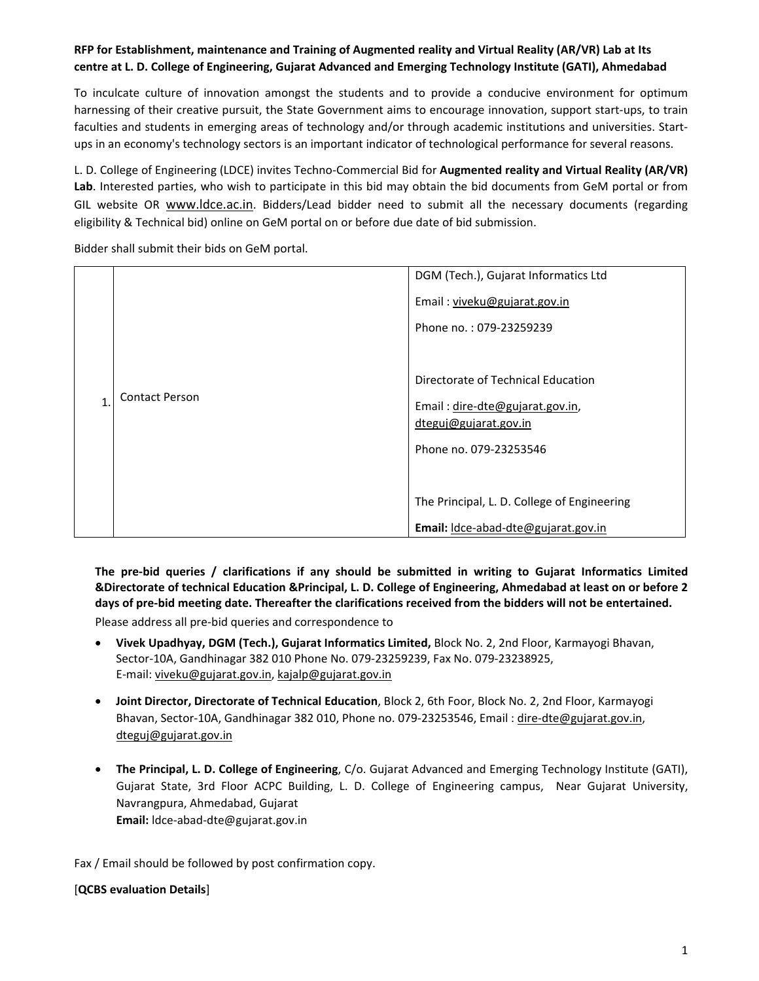## **RFP for Establishment, maintenance and Training of Augmented reality and Virtual Reality (AR/VR) Lab at Its centre at L. D. College of Engineering, Gujarat Advanced and Emerging Technology Institute (GATI), Ahmedabad**

To inculcate culture of innovation amongst the students and to provide a conducive environment for optimum harnessing of their creative pursuit, the State Government aims to encourage innovation, support start‐ups, to train faculties and students in emerging areas of technology and/or through academic institutions and universities. Startups in an economy's technology sectors is an important indicator of technological performance for several reasons.

L. D. College of Engineering (LDCE) invites Techno‐Commercial Bid for **Augmented reality and Virtual Reality (AR/VR) Lab**. Interested parties, who wish to participate in this bid may obtain the bid documents from GeM portal or from GIL website OR www.ldce.ac.in. Bidders/Lead bidder need to submit all the necessary documents (regarding eligibility & Technical bid) online on GeM portal on or before due date of bid submission.

Bidder shall submit their bids on GeM portal.

|   |                       | DGM (Tech.), Gujarat Informatics Ltd        |
|---|-----------------------|---------------------------------------------|
|   |                       | Email: viveku@gujarat.gov.in                |
| 1 | <b>Contact Person</b> | Phone no.: 079-23259239                     |
|   |                       |                                             |
|   |                       | Directorate of Technical Education          |
|   |                       | Email: dire-dte@gujarat.gov.in,             |
|   |                       | dteguj@gujarat.gov.in                       |
|   |                       | Phone no. 079-23253546                      |
|   |                       |                                             |
|   |                       | The Principal, L. D. College of Engineering |
|   |                       | Email: Idce-abad-dte@gujarat.gov.in         |

**The pre‐bid queries / clarifications if any should be submitted in writing to Gujarat Informatics Limited &Directorate of technical Education &Principal, L. D. College of Engineering, Ahmedabad at least on or before 2 days of pre‐bid meeting date. Thereafter the clarifications received from the bidders will not be entertained.** 

Please address all pre‐bid queries and correspondence to

- **Vivek Upadhyay, DGM (Tech.), Gujarat Informatics Limited,** Block No. 2, 2nd Floor, Karmayogi Bhavan, Sector‐10A, Gandhinagar 382 010 Phone No. 079‐23259239, Fax No. 079‐23238925, E‐mail: viveku@gujarat.gov.in, kajalp@gujarat.gov.in
- **Joint Director, Directorate of Technical Education**, Block 2, 6th Foor, Block No. 2, 2nd Floor, Karmayogi Bhavan, Sector‐10A, Gandhinagar 382 010, Phone no. 079‐23253546, Email : dire‐dte@gujarat.gov.in, dteguj@gujarat.gov.in
- **The Principal, L. D. College of Engineering**, C/o. Gujarat Advanced and Emerging Technology Institute (GATI), Gujarat State, 3rd Floor ACPC Building, L. D. College of Engineering campus, Near Gujarat University, Navrangpura, Ahmedabad, Gujarat **Email:** ldce‐abad‐dte@gujarat.gov.in

Fax / Email should be followed by post confirmation copy.

## [**QCBS evaluation Details**]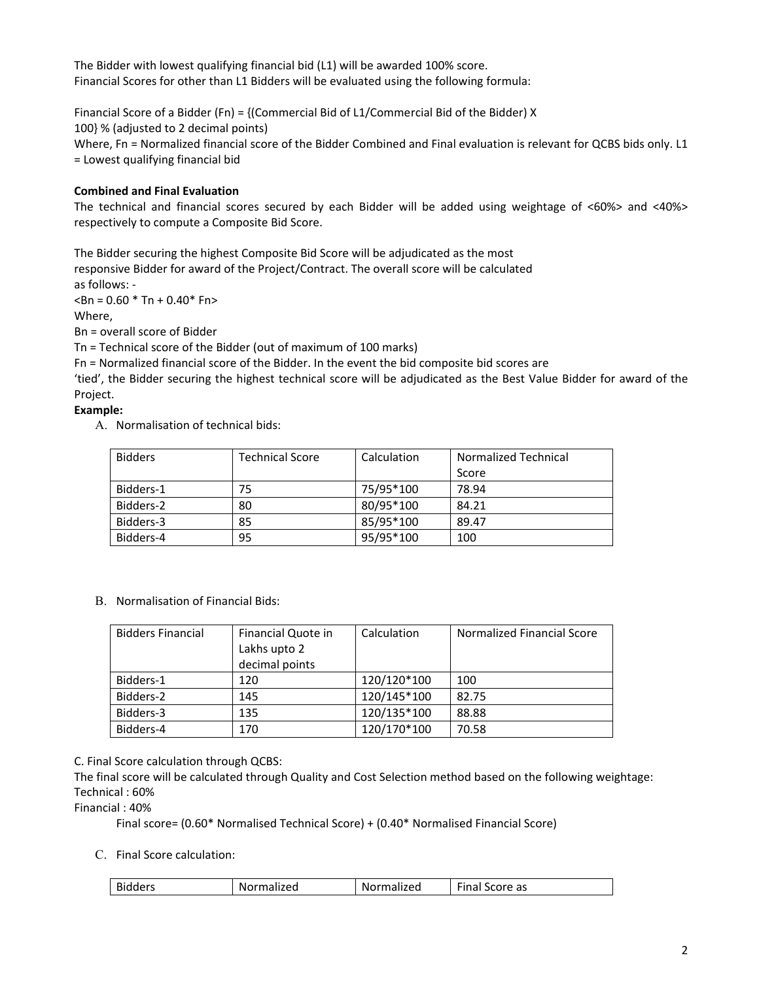The Bidder with lowest qualifying financial bid (L1) will be awarded 100% score. Financial Scores for other than L1 Bidders will be evaluated using the following formula:

Financial Score of a Bidder (Fn) = {(Commercial Bid of L1/Commercial Bid of the Bidder) X 100} % (adjusted to 2 decimal points) Where, Fn = Normalized financial score of the Bidder Combined and Final evaluation is relevant for QCBS bids only. L1 = Lowest qualifying financial bid

## **Combined and Final Evaluation**

The technical and financial scores secured by each Bidder will be added using weightage of <60%> and <40%> respectively to compute a Composite Bid Score.

The Bidder securing the highest Composite Bid Score will be adjudicated as the most responsive Bidder for award of the Project/Contract. The overall score will be calculated

as follows: ‐

 $$\text{dBn} = 0.60$  \* Tn + 0.40\* Fn>

Where,

Bn = overall score of Bidder

Tn = Technical score of the Bidder (out of maximum of 100 marks)

Fn = Normalized financial score of the Bidder. In the event the bid composite bid scores are

'tied', the Bidder securing the highest technical score will be adjudicated as the Best Value Bidder for award of the Project.

## **Example:**

A. Normalisation of technical bids:

| <b>Bidders</b> | Technical Score | Calculation | Normalized Technical |
|----------------|-----------------|-------------|----------------------|
|                |                 |             | Score                |
| Bidders-1      | 75              | 75/95*100   | 78.94                |
| Bidders-2      | 80              | 80/95*100   | 84.21                |
| Bidders-3      | 85              | 85/95*100   | 89.47                |
| Bidders-4      | 95              | 95/95*100   | 100                  |

B. Normalisation of Financial Bids:

| <b>Bidders Financial</b> | Financial Quote in | Calculation | Normalized Financial Score |
|--------------------------|--------------------|-------------|----------------------------|
|                          | Lakhs upto 2       |             |                            |
|                          | decimal points     |             |                            |
| Bidders-1                | 120                | 120/120*100 | 100                        |
| Bidders-2                | 145                | 120/145*100 | 82.75                      |
| Bidders-3                | 135                | 120/135*100 | 88.88                      |
| Bidders-4                | 170                | 120/170*100 | 70.58                      |

C. Final Score calculation through QCBS:

The final score will be calculated through Quality and Cost Selection method based on the following weightage: Technical : 60%

Financial : 40%

Final score= (0.60\* Normalised Technical Score) + (0.40\* Normalised Financial Score)

C. Final Score calculation:

| $- \cdot$<br>$\sim$ .<br>Score as<br><b>Bidders</b><br>Normalized<br>`-ınal<br>prmalized<br><b>NOI</b> |
|--------------------------------------------------------------------------------------------------------|
|--------------------------------------------------------------------------------------------------------|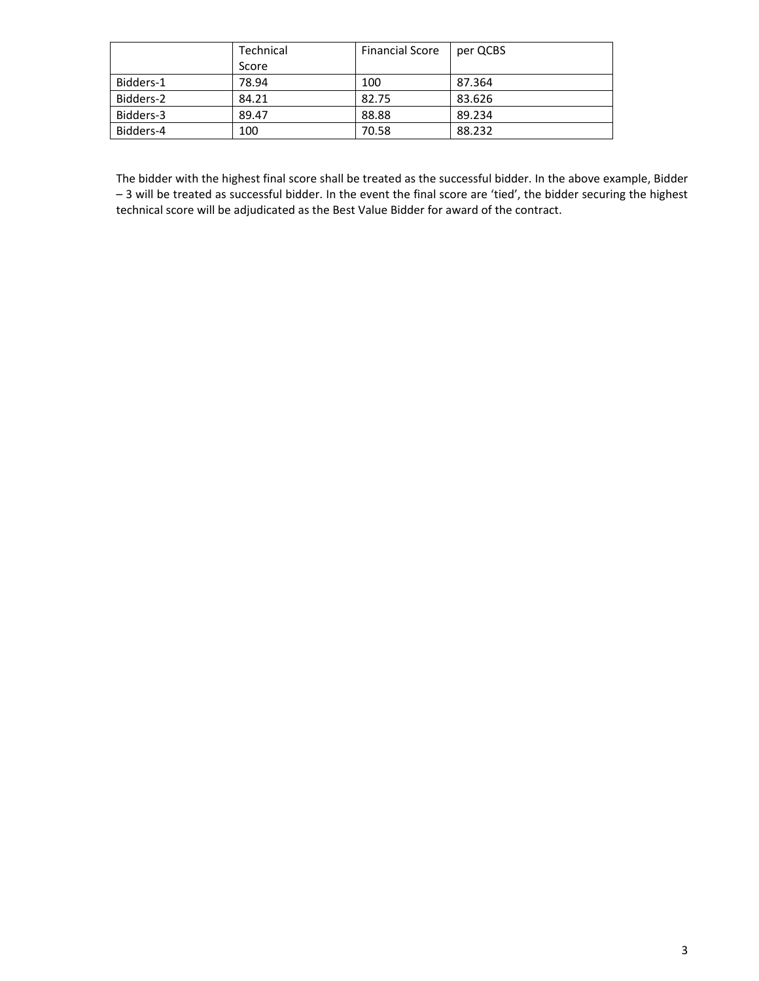|           | Technical | <b>Financial Score</b> | per QCBS |
|-----------|-----------|------------------------|----------|
|           | Score     |                        |          |
| Bidders-1 | 78.94     | 100                    | 87.364   |
| Bidders-2 | 84.21     | 82.75                  | 83.626   |
| Bidders-3 | 89.47     | 88.88                  | 89.234   |
| Bidders-4 | 100       | 70.58                  | 88.232   |

The bidder with the highest final score shall be treated as the successful bidder. In the above example, Bidder – 3 will be treated as successful bidder. In the event the final score are 'tied', the bidder securing the highest technical score will be adjudicated as the Best Value Bidder for award of the contract.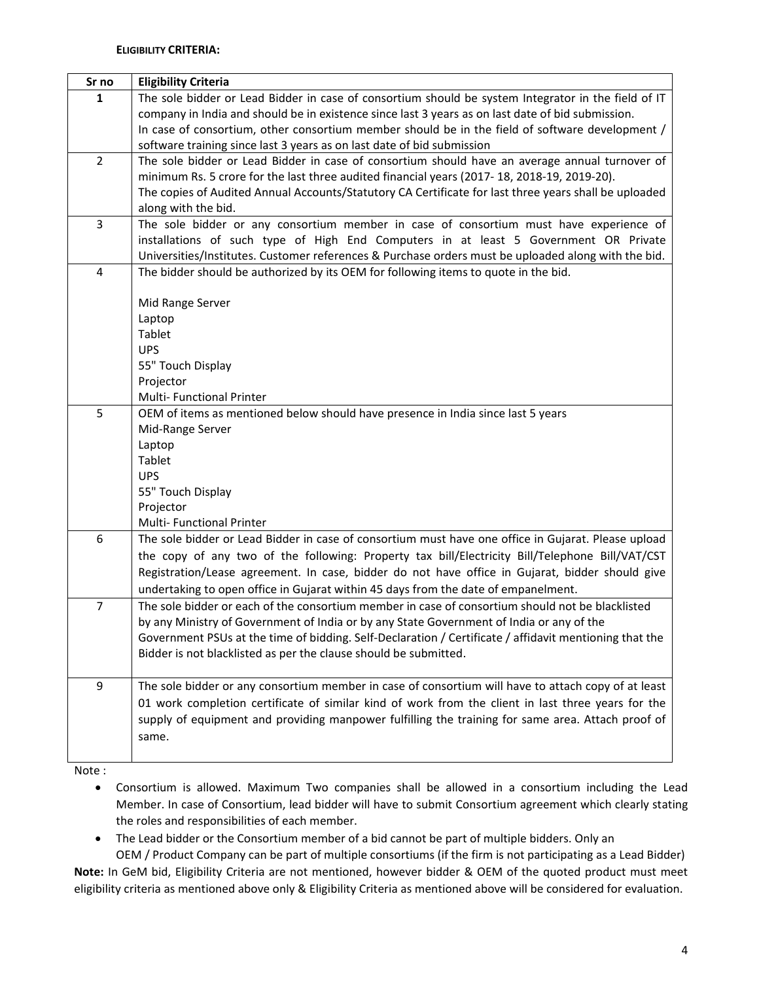| Sr no          | <b>Eligibility Criteria</b>                                                                            |
|----------------|--------------------------------------------------------------------------------------------------------|
| 1              | The sole bidder or Lead Bidder in case of consortium should be system Integrator in the field of IT    |
|                | company in India and should be in existence since last 3 years as on last date of bid submission.      |
|                | In case of consortium, other consortium member should be in the field of software development /        |
|                | software training since last 3 years as on last date of bid submission                                 |
| $\overline{2}$ | The sole bidder or Lead Bidder in case of consortium should have an average annual turnover of         |
|                | minimum Rs. 5 crore for the last three audited financial years (2017-18, 2018-19, 2019-20).            |
|                | The copies of Audited Annual Accounts/Statutory CA Certificate for last three years shall be uploaded  |
|                | along with the bid.                                                                                    |
| 3              | The sole bidder or any consortium member in case of consortium must have experience of                 |
|                | installations of such type of High End Computers in at least 5 Government OR Private                   |
|                | Universities/Institutes. Customer references & Purchase orders must be uploaded along with the bid.    |
| 4              | The bidder should be authorized by its OEM for following items to quote in the bid.                    |
|                |                                                                                                        |
|                | Mid Range Server                                                                                       |
|                | Laptop<br>Tablet                                                                                       |
|                | <b>UPS</b>                                                                                             |
|                | 55" Touch Display                                                                                      |
|                | Projector                                                                                              |
|                | Multi- Functional Printer                                                                              |
| 5              | OEM of items as mentioned below should have presence in India since last 5 years                       |
|                | Mid-Range Server                                                                                       |
|                | Laptop                                                                                                 |
|                | Tablet                                                                                                 |
|                | <b>UPS</b>                                                                                             |
|                | 55" Touch Display                                                                                      |
|                | Projector                                                                                              |
|                | Multi- Functional Printer                                                                              |
| 6              | The sole bidder or Lead Bidder in case of consortium must have one office in Gujarat. Please upload    |
|                | the copy of any two of the following: Property tax bill/Electricity Bill/Telephone Bill/VAT/CST        |
|                | Registration/Lease agreement. In case, bidder do not have office in Gujarat, bidder should give        |
|                | undertaking to open office in Gujarat within 45 days from the date of empanelment.                     |
| $\overline{7}$ | The sole bidder or each of the consortium member in case of consortium should not be blacklisted       |
|                | by any Ministry of Government of India or by any State Government of India or any of the               |
|                | Government PSUs at the time of bidding. Self-Declaration / Certificate / affidavit mentioning that the |
|                | Bidder is not blacklisted as per the clause should be submitted.                                       |
|                |                                                                                                        |
| 9              | The sole bidder or any consortium member in case of consortium will have to attach copy of at least    |
|                | 01 work completion certificate of similar kind of work from the client in last three years for the     |
|                | supply of equipment and providing manpower fulfilling the training for same area. Attach proof of      |
|                | same.                                                                                                  |
|                |                                                                                                        |

Note :

- Consortium is allowed. Maximum Two companies shall be allowed in a consortium including the Lead Member. In case of Consortium, lead bidder will have to submit Consortium agreement which clearly stating the roles and responsibilities of each member.
- The Lead bidder or the Consortium member of a bid cannot be part of multiple bidders. Only an OEM / Product Company can be part of multiple consortiums (if the firm is not participating as a Lead Bidder)

**Note:** In GeM bid, Eligibility Criteria are not mentioned, however bidder & OEM of the quoted product must meet eligibility criteria as mentioned above only & Eligibility Criteria as mentioned above will be considered for evaluation.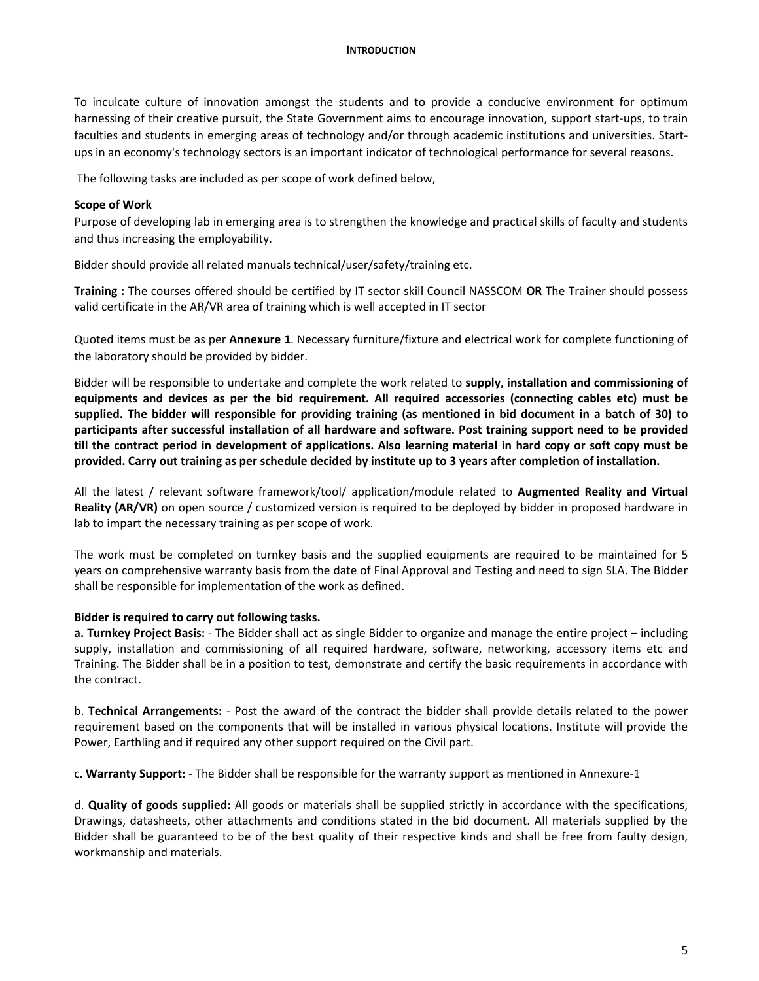To inculcate culture of innovation amongst the students and to provide a conducive environment for optimum harnessing of their creative pursuit, the State Government aims to encourage innovation, support start‐ups, to train faculties and students in emerging areas of technology and/or through academic institutions and universities. Start‐ ups in an economy's technology sectors is an important indicator of technological performance for several reasons.

The following tasks are included as per scope of work defined below,

#### **Scope of Work**

Purpose of developing lab in emerging area is to strengthen the knowledge and practical skills of faculty and students and thus increasing the employability.

Bidder should provide all related manuals technical/user/safety/training etc.

**Training :** The courses offered should be certified by IT sector skill Council NASSCOM **OR** The Trainer should possess valid certificate in the AR/VR area of training which is well accepted in IT sector

Quoted items must be as per **Annexure 1**. Necessary furniture/fixture and electrical work for complete functioning of the laboratory should be provided by bidder.

Bidder will be responsible to undertake and complete the work related to **supply, installation and commissioning of equipments and devices as per the bid requirement. All required accessories (connecting cables etc) must be supplied. The bidder will responsible for providing training (as mentioned in bid document in a batch of 30) to participants after successful installation of all hardware and software. Post training support need to be provided till the contract period in development of applications. Also learning material in hard copy or soft copy must be provided. Carry out training as per schedule decided by institute up to 3 years after completion of installation.** 

All the latest / relevant software framework/tool/ application/module related to **Augmented Reality and Virtual Reality (AR/VR)** on open source / customized version is required to be deployed by bidder in proposed hardware in lab to impart the necessary training as per scope of work.

The work must be completed on turnkey basis and the supplied equipments are required to be maintained for 5 years on comprehensive warranty basis from the date of Final Approval and Testing and need to sign SLA. The Bidder shall be responsible for implementation of the work as defined.

#### **Bidder is required to carry out following tasks.**

**a. Turnkey Project Basis:** ‐ The Bidder shall act as single Bidder to organize and manage the entire project – including supply, installation and commissioning of all required hardware, software, networking, accessory items etc and Training. The Bidder shall be in a position to test, demonstrate and certify the basic requirements in accordance with the contract.

b. **Technical Arrangements:** ‐ Post the award of the contract the bidder shall provide details related to the power requirement based on the components that will be installed in various physical locations. Institute will provide the Power, Earthling and if required any other support required on the Civil part.

c. **Warranty Support:** ‐ The Bidder shall be responsible for the warranty support as mentioned in Annexure‐1

d. **Quality of goods supplied:** All goods or materials shall be supplied strictly in accordance with the specifications, Drawings, datasheets, other attachments and conditions stated in the bid document. All materials supplied by the Bidder shall be guaranteed to be of the best quality of their respective kinds and shall be free from faulty design, workmanship and materials.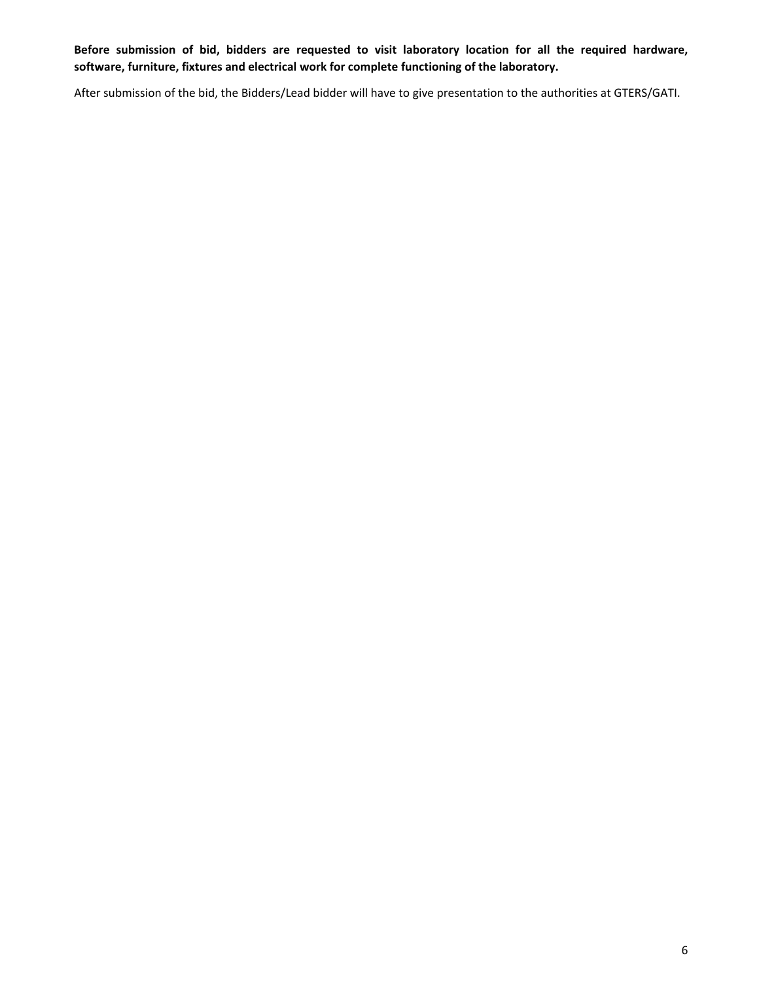**Before submission of bid, bidders are requested to visit laboratory location for all the required hardware, software, furniture, fixtures and electrical work for complete functioning of the laboratory.** 

After submission of the bid, the Bidders/Lead bidder will have to give presentation to the authorities at GTERS/GATI.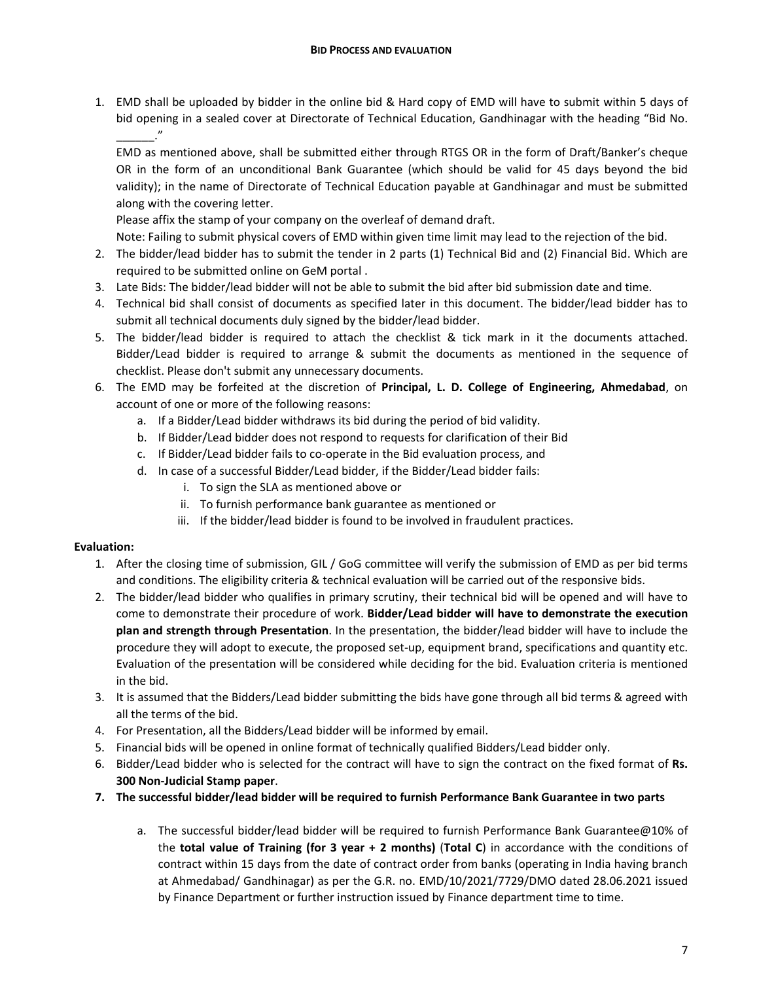1. EMD shall be uploaded by bidder in the online bid & Hard copy of EMD will have to submit within 5 days of bid opening in a sealed cover at Directorate of Technical Education, Gandhinagar with the heading "Bid No. \_\_\_\_\_\_."

EMD as mentioned above, shall be submitted either through RTGS OR in the form of Draft/Banker's cheque OR in the form of an unconditional Bank Guarantee (which should be valid for 45 days beyond the bid validity); in the name of Directorate of Technical Education payable at Gandhinagar and must be submitted along with the covering letter.

Please affix the stamp of your company on the overleaf of demand draft.

Note: Failing to submit physical covers of EMD within given time limit may lead to the rejection of the bid.

- 2. The bidder/lead bidder has to submit the tender in 2 parts (1) Technical Bid and (2) Financial Bid. Which are required to be submitted online on GeM portal .
- 3. Late Bids: The bidder/lead bidder will not be able to submit the bid after bid submission date and time.
- 4. Technical bid shall consist of documents as specified later in this document. The bidder/lead bidder has to submit all technical documents duly signed by the bidder/lead bidder.
- 5. The bidder/lead bidder is required to attach the checklist & tick mark in it the documents attached. Bidder/Lead bidder is required to arrange & submit the documents as mentioned in the sequence of checklist. Please don't submit any unnecessary documents.
- 6. The EMD may be forfeited at the discretion of **Principal, L. D. College of Engineering, Ahmedabad**, on account of one or more of the following reasons:
	- a. If a Bidder/Lead bidder withdraws its bid during the period of bid validity.
	- b. If Bidder/Lead bidder does not respond to requests for clarification of their Bid
	- c. If Bidder/Lead bidder fails to co‐operate in the Bid evaluation process, and
	- d. In case of a successful Bidder/Lead bidder, if the Bidder/Lead bidder fails:
		- i. To sign the SLA as mentioned above or
		- ii. To furnish performance bank guarantee as mentioned or
		- iii. If the bidder/lead bidder is found to be involved in fraudulent practices.

#### **Evaluation:**

- 1. After the closing time of submission, GIL / GoG committee will verify the submission of EMD as per bid terms and conditions. The eligibility criteria & technical evaluation will be carried out of the responsive bids.
- 2. The bidder/lead bidder who qualifies in primary scrutiny, their technical bid will be opened and will have to come to demonstrate their procedure of work. **Bidder/Lead bidder will have to demonstrate the execution plan and strength through Presentation**. In the presentation, the bidder/lead bidder will have to include the procedure they will adopt to execute, the proposed set‐up, equipment brand, specifications and quantity etc. Evaluation of the presentation will be considered while deciding for the bid. Evaluation criteria is mentioned in the bid.
- 3. It is assumed that the Bidders/Lead bidder submitting the bids have gone through all bid terms & agreed with all the terms of the bid.
- 4. For Presentation, all the Bidders/Lead bidder will be informed by email.
- 5. Financial bids will be opened in online format of technically qualified Bidders/Lead bidder only.
- 6. Bidder/Lead bidder who is selected for the contract will have to sign the contract on the fixed format of **Rs. 300 Non‐Judicial Stamp paper**.
- **7. The successful bidder/lead bidder will be required to furnish Performance Bank Guarantee in two parts** 
	- a. The successful bidder/lead bidder will be required to furnish Performance Bank Guarantee@10% of the **total value of Training (for 3 year + 2 months)** (**Total C**) in accordance with the conditions of contract within 15 days from the date of contract order from banks (operating in India having branch at Ahmedabad/ Gandhinagar) as per the G.R. no. EMD/10/2021/7729/DMO dated 28.06.2021 issued by Finance Department or further instruction issued by Finance department time to time.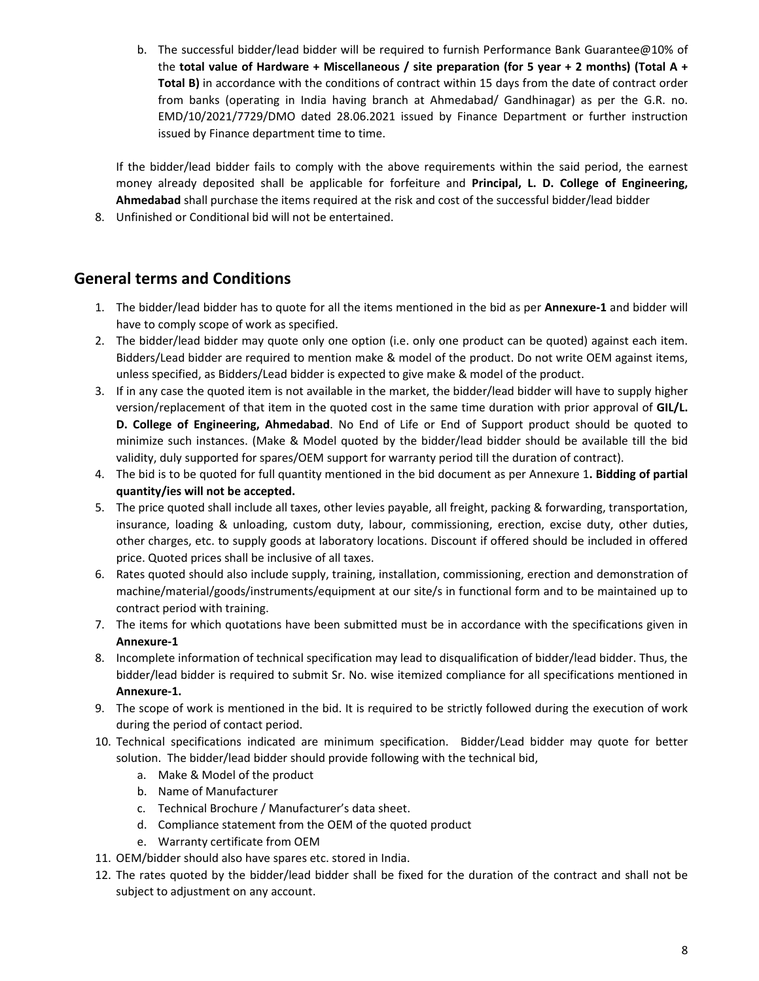b. The successful bidder/lead bidder will be required to furnish Performance Bank Guarantee@10% of the **total value of Hardware + Miscellaneous / site preparation (for 5 year + 2 months) (Total A + Total B)** in accordance with the conditions of contract within 15 days from the date of contract order from banks (operating in India having branch at Ahmedabad/ Gandhinagar) as per the G.R. no. EMD/10/2021/7729/DMO dated 28.06.2021 issued by Finance Department or further instruction issued by Finance department time to time.

If the bidder/lead bidder fails to comply with the above requirements within the said period, the earnest money already deposited shall be applicable for forfeiture and **Principal, L. D. College of Engineering, Ahmedabad** shall purchase the items required at the risk and cost of the successful bidder/lead bidder

8. Unfinished or Conditional bid will not be entertained.

# **General terms and Conditions**

- 1. The bidder/lead bidder has to quote for all the items mentioned in the bid as per **Annexure‐1** and bidder will have to comply scope of work as specified.
- 2. The bidder/lead bidder may quote only one option (i.e. only one product can be quoted) against each item. Bidders/Lead bidder are required to mention make & model of the product. Do not write OEM against items, unless specified, as Bidders/Lead bidder is expected to give make & model of the product.
- 3. If in any case the quoted item is not available in the market, the bidder/lead bidder will have to supply higher version/replacement of that item in the quoted cost in the same time duration with prior approval of **GIL/L. D. College of Engineering, Ahmedabad**. No End of Life or End of Support product should be quoted to minimize such instances. (Make & Model quoted by the bidder/lead bidder should be available till the bid validity, duly supported for spares/OEM support for warranty period till the duration of contract).
- 4. The bid is to be quoted for full quantity mentioned in the bid document as per Annexure 1**. Bidding of partial quantity/ies will not be accepted.**
- 5. The price quoted shall include all taxes, other levies payable, all freight, packing & forwarding, transportation, insurance, loading & unloading, custom duty, labour, commissioning, erection, excise duty, other duties, other charges, etc. to supply goods at laboratory locations. Discount if offered should be included in offered price. Quoted prices shall be inclusive of all taxes.
- 6. Rates quoted should also include supply, training, installation, commissioning, erection and demonstration of machine/material/goods/instruments/equipment at our site/s in functional form and to be maintained up to contract period with training.
- 7. The items for which quotations have been submitted must be in accordance with the specifications given in **Annexure‐1**
- 8. Incomplete information of technical specification may lead to disqualification of bidder/lead bidder. Thus, the bidder/lead bidder is required to submit Sr. No. wise itemized compliance for all specifications mentioned in **Annexure‐1.**
- 9. The scope of work is mentioned in the bid. It is required to be strictly followed during the execution of work during the period of contact period.
- 10. Technical specifications indicated are minimum specification. Bidder/Lead bidder may quote for better solution. The bidder/lead bidder should provide following with the technical bid,
	- a. Make & Model of the product
	- b. Name of Manufacturer
	- c. Technical Brochure / Manufacturer's data sheet.
	- d. Compliance statement from the OEM of the quoted product
	- e. Warranty certificate from OEM
- 11. OEM/bidder should also have spares etc. stored in India.
- 12. The rates quoted by the bidder/lead bidder shall be fixed for the duration of the contract and shall not be subject to adjustment on any account.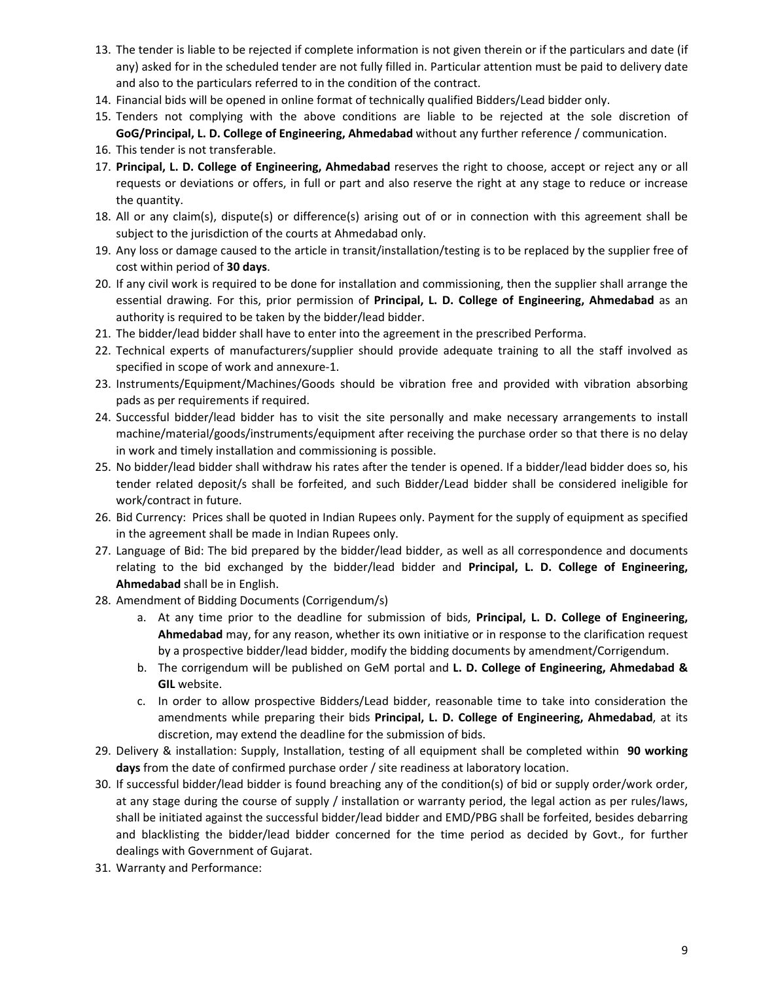- 13. The tender is liable to be rejected if complete information is not given therein or if the particulars and date (if any) asked for in the scheduled tender are not fully filled in. Particular attention must be paid to delivery date and also to the particulars referred to in the condition of the contract.
- 14. Financial bids will be opened in online format of technically qualified Bidders/Lead bidder only.
- 15. Tenders not complying with the above conditions are liable to be rejected at the sole discretion of **GoG/Principal, L. D. College of Engineering, Ahmedabad** without any further reference / communication.
- 16. This tender is not transferable.
- 17. **Principal, L. D. College of Engineering, Ahmedabad** reserves the right to choose, accept or reject any or all requests or deviations or offers, in full or part and also reserve the right at any stage to reduce or increase the quantity.
- 18. All or any claim(s), dispute(s) or difference(s) arising out of or in connection with this agreement shall be subject to the jurisdiction of the courts at Ahmedabad only.
- 19. Any loss or damage caused to the article in transit/installation/testing is to be replaced by the supplier free of cost within period of **30 days**.
- 20. If any civil work is required to be done for installation and commissioning, then the supplier shall arrange the essential drawing. For this, prior permission of Principal, L. D. College of Engineering, Ahmedabad as an authority is required to be taken by the bidder/lead bidder.
- 21. The bidder/lead bidder shall have to enter into the agreement in the prescribed Performa.
- 22. Technical experts of manufacturers/supplier should provide adequate training to all the staff involved as specified in scope of work and annexure‐1.
- 23. Instruments/Equipment/Machines/Goods should be vibration free and provided with vibration absorbing pads as per requirements if required.
- 24. Successful bidder/lead bidder has to visit the site personally and make necessary arrangements to install machine/material/goods/instruments/equipment after receiving the purchase order so that there is no delay in work and timely installation and commissioning is possible.
- 25. No bidder/lead bidder shall withdraw his rates after the tender is opened. If a bidder/lead bidder does so, his tender related deposit/s shall be forfeited, and such Bidder/Lead bidder shall be considered ineligible for work/contract in future.
- 26. Bid Currency: Prices shall be quoted in Indian Rupees only. Payment for the supply of equipment as specified in the agreement shall be made in Indian Rupees only.
- 27. Language of Bid: The bid prepared by the bidder/lead bidder, as well as all correspondence and documents relating to the bid exchanged by the bidder/lead bidder and **Principal, L. D. College of Engineering, Ahmedabad** shall be in English.
- 28. Amendment of Bidding Documents (Corrigendum/s)
	- a. At any time prior to the deadline for submission of bids, **Principal, L. D. College of Engineering, Ahmedabad** may, for any reason, whether its own initiative or in response to the clarification request by a prospective bidder/lead bidder, modify the bidding documents by amendment/Corrigendum.
	- b. The corrigendum will be published on GeM portal and **L. D. College of Engineering, Ahmedabad & GIL** website.
	- c. In order to allow prospective Bidders/Lead bidder, reasonable time to take into consideration the amendments while preparing their bids **Principal, L. D. College of Engineering, Ahmedabad**, at its discretion, may extend the deadline for the submission of bids.
- 29. Delivery & installation: Supply, Installation, testing of all equipment shall be completed within  **90 working days** from the date of confirmed purchase order / site readiness at laboratory location.
- 30. If successful bidder/lead bidder is found breaching any of the condition(s) of bid or supply order/work order, at any stage during the course of supply / installation or warranty period, the legal action as per rules/laws, shall be initiated against the successful bidder/lead bidder and EMD/PBG shall be forfeited, besides debarring and blacklisting the bidder/lead bidder concerned for the time period as decided by Govt., for further dealings with Government of Gujarat.
- 31. Warranty and Performance: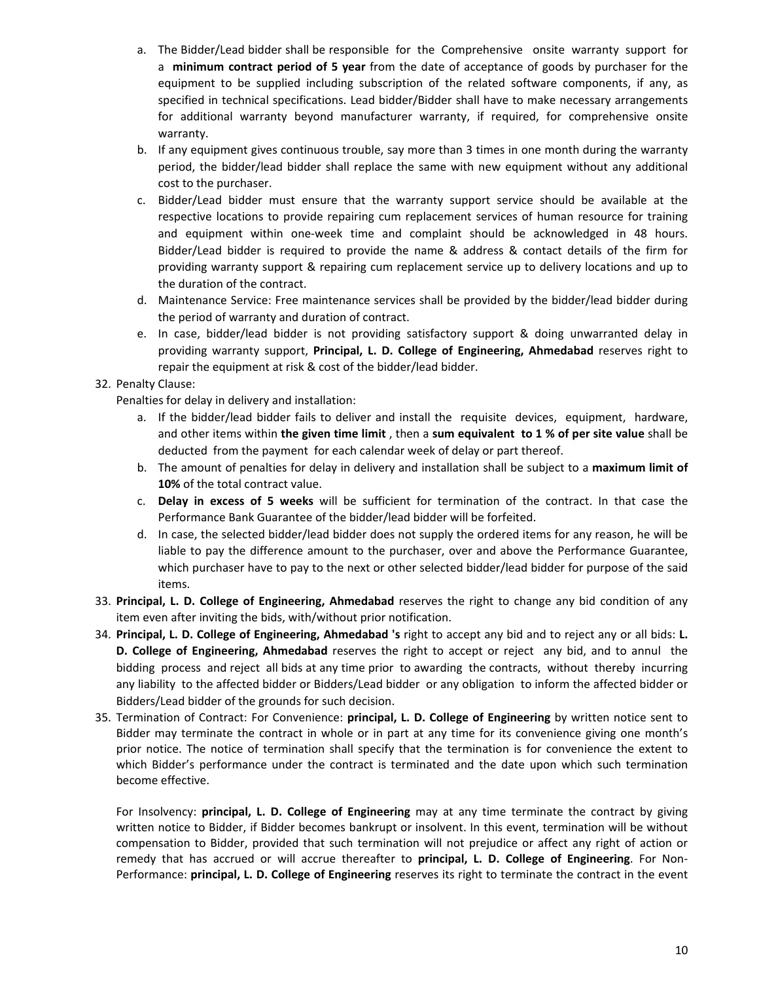- a. The Bidder/Lead bidder shall be responsible for the Comprehensive onsite warranty support for a **minimum contract period of 5 year** from the date of acceptance of goods by purchaser for the equipment to be supplied including subscription of the related software components, if any, as specified in technical specifications. Lead bidder/Bidder shall have to make necessary arrangements for additional warranty beyond manufacturer warranty, if required, for comprehensive onsite warranty.
- b. If any equipment gives continuous trouble, say more than 3 times in one month during the warranty period, the bidder/lead bidder shall replace the same with new equipment without any additional cost to the purchaser.
- c. Bidder/Lead bidder must ensure that the warranty support service should be available at the respective locations to provide repairing cum replacement services of human resource for training and equipment within one-week time and complaint should be acknowledged in 48 hours. Bidder/Lead bidder is required to provide the name & address & contact details of the firm for providing warranty support & repairing cum replacement service up to delivery locations and up to the duration of the contract.
- d. Maintenance Service: Free maintenance services shall be provided by the bidder/lead bidder during the period of warranty and duration of contract.
- e. In case, bidder/lead bidder is not providing satisfactory support & doing unwarranted delay in providing warranty support, **Principal, L. D. College of Engineering, Ahmedabad** reserves right to repair the equipment at risk & cost of the bidder/lead bidder.

## 32. Penalty Clause:

Penalties for delay in delivery and installation:

- a. If the bidder/lead bidder fails to deliver and install the requisite devices, equipment, hardware, and other items within **the given time limit** , then a **sum equivalent to 1 % of per site value** shall be deducted from the payment for each calendar week of delay or part thereof.
- b. The amount of penalties for delay in delivery and installation shall be subject to a **maximum limit of 10%** of the total contract value.
- c. **Delay in excess of 5 weeks** will be sufficient for termination of the contract. In that case the Performance Bank Guarantee of the bidder/lead bidder will be forfeited.
- d. In case, the selected bidder/lead bidder does not supply the ordered items for any reason, he will be liable to pay the difference amount to the purchaser, over and above the Performance Guarantee, which purchaser have to pay to the next or other selected bidder/lead bidder for purpose of the said items.
- 33. **Principal, L. D. College of Engineering, Ahmedabad** reserves the right to change any bid condition of any item even after inviting the bids, with/without prior notification.
- 34. **Principal, L. D. College of Engineering, Ahmedabad 's** right to accept any bid and to reject any or all bids: **L. D. College of Engineering, Ahmedabad** reserves the right to accept or reject any bid, and to annul the bidding process and reject all bids at any time prior to awarding the contracts, without thereby incurring any liability to the affected bidder or Bidders/Lead bidder or any obligation to inform the affected bidder or Bidders/Lead bidder of the grounds for such decision.
- 35. Termination of Contract: For Convenience: **principal, L. D. College of Engineering** by written notice sent to Bidder may terminate the contract in whole or in part at any time for its convenience giving one month's prior notice. The notice of termination shall specify that the termination is for convenience the extent to which Bidder's performance under the contract is terminated and the date upon which such termination become effective.

For Insolvency: **principal, L. D. College of Engineering** may at any time terminate the contract by giving written notice to Bidder, if Bidder becomes bankrupt or insolvent. In this event, termination will be without compensation to Bidder, provided that such termination will not prejudice or affect any right of action or remedy that has accrued or will accrue thereafter to **principal, L. D. College of Engineering**. For Non‐ Performance: **principal, L. D. College of Engineering** reserves its right to terminate the contract in the event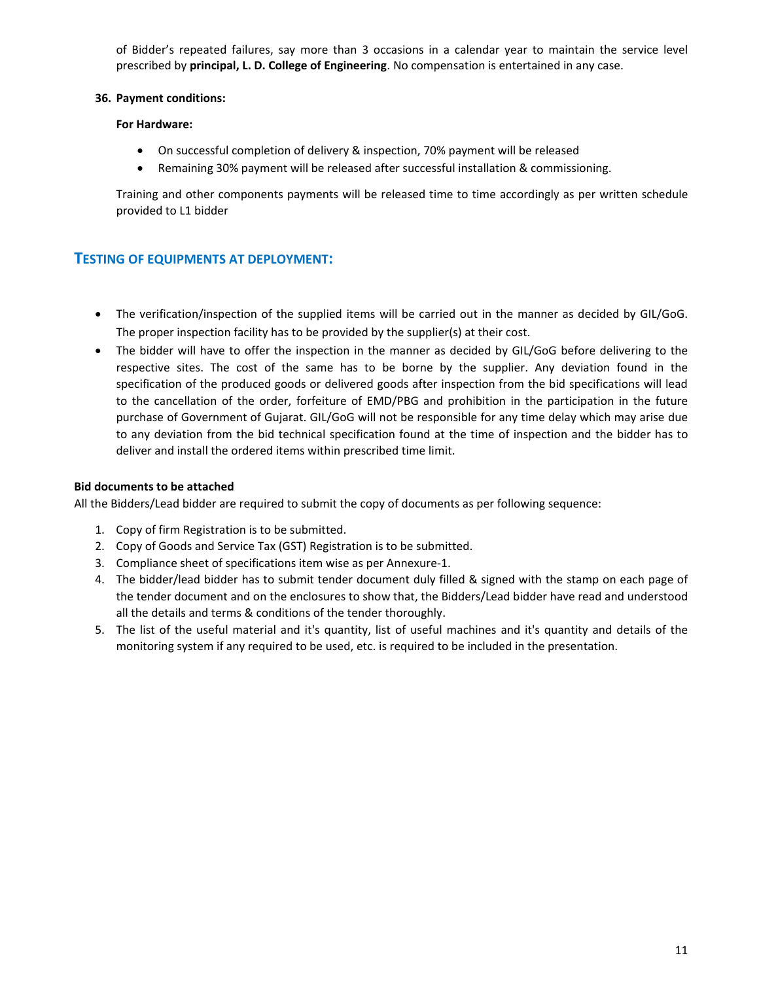of Bidder's repeated failures, say more than 3 occasions in a calendar year to maintain the service level prescribed by **principal, L. D. College of Engineering**. No compensation is entertained in any case.

#### **36. Payment conditions:**

#### **For Hardware:**

- On successful completion of delivery & inspection, 70% payment will be released
- Remaining 30% payment will be released after successful installation & commissioning.

Training and other components payments will be released time to time accordingly as per written schedule provided to L1 bidder

## **TESTING OF EQUIPMENTS AT DEPLOYMENT:**

- The verification/inspection of the supplied items will be carried out in the manner as decided by GIL/GoG. The proper inspection facility has to be provided by the supplier(s) at their cost.
- The bidder will have to offer the inspection in the manner as decided by GIL/GoG before delivering to the respective sites. The cost of the same has to be borne by the supplier. Any deviation found in the specification of the produced goods or delivered goods after inspection from the bid specifications will lead to the cancellation of the order, forfeiture of EMD/PBG and prohibition in the participation in the future purchase of Government of Gujarat. GIL/GoG will not be responsible for any time delay which may arise due to any deviation from the bid technical specification found at the time of inspection and the bidder has to deliver and install the ordered items within prescribed time limit.

### **Bid documents to be attached**

All the Bidders/Lead bidder are required to submit the copy of documents as per following sequence:

- 1. Copy of firm Registration is to be submitted.
- 2. Copy of Goods and Service Tax (GST) Registration is to be submitted.
- 3. Compliance sheet of specifications item wise as per Annexure‐1.
- 4. The bidder/lead bidder has to submit tender document duly filled & signed with the stamp on each page of the tender document and on the enclosures to show that, the Bidders/Lead bidder have read and understood all the details and terms & conditions of the tender thoroughly.
- 5. The list of the useful material and it's quantity, list of useful machines and it's quantity and details of the monitoring system if any required to be used, etc. is required to be included in the presentation.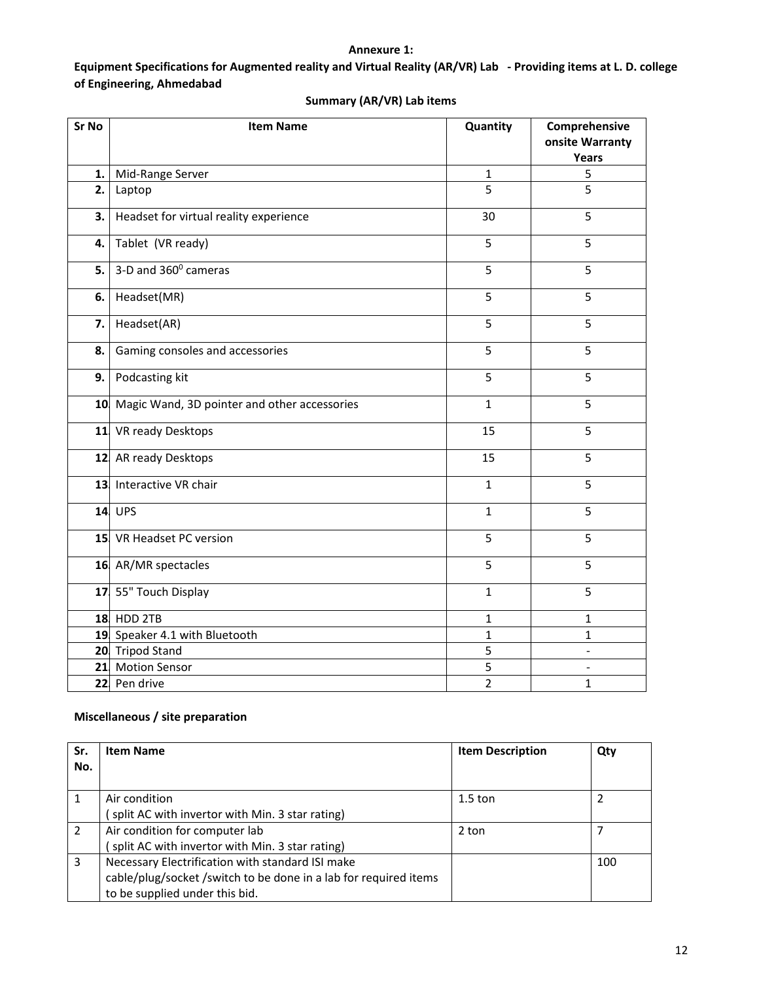## **Annexure 1:**

**Equipment Specifications for Augmented reality and Virtual Reality (AR/VR) Lab ‐ Providing items at L. D. college of Engineering, Ahmedabad** 

| Sr No | <b>Item Name</b>                             | Quantity       | Comprehensive   |
|-------|----------------------------------------------|----------------|-----------------|
|       |                                              |                | onsite Warranty |
|       |                                              |                | Years           |
| 1.    | Mid-Range Server                             | $\mathbf{1}$   | 5               |
| 2.    | Laptop                                       | 5              | 5               |
| 3.    | Headset for virtual reality experience       | 30             | 5               |
| 4.    | Tablet (VR ready)                            | 5              | 5               |
| 5.    | 3-D and 360° cameras                         | 5              | 5               |
| 6.    | Headset(MR)                                  | 5              | 5               |
| 7.    | Headset(AR)                                  | 5              | 5               |
| 8.    | Gaming consoles and accessories              | 5              | 5               |
| 9.    | Podcasting kit                               | 5              | 5               |
| 10    | Magic Wand, 3D pointer and other accessories | $\mathbf{1}$   | 5               |
| 11    | VR ready Desktops                            | 15             | 5               |
|       | 12 AR ready Desktops                         | 15             | 5               |
|       | 13 Interactive VR chair                      | $\mathbf{1}$   | 5               |
|       | $14$ UPS                                     | $\mathbf{1}$   | 5               |
|       | 15 VR Headset PC version                     | 5              | 5               |
|       | 16 AR/MR spectacles                          | 5              | 5               |
|       | 17 55" Touch Display                         | $\mathbf{1}$   | 5               |
|       | <b>18 HDD 2TB</b>                            | $\mathbf{1}$   | 1               |
|       | 19 Speaker 4.1 with Bluetooth                | $\mathbf{1}$   | 1               |
|       | 20 Tripod Stand                              | 5              |                 |
|       | 21 Motion Sensor                             | 5              |                 |
|       | 22 Pen drive                                 | $\overline{2}$ | $\mathbf{1}$    |

# **Summary (AR/VR) Lab items**

## **Miscellaneous / site preparation**

| Sr. | <b>Item Name</b>                                                                                                                                      | <b>Item Description</b> | Qty |
|-----|-------------------------------------------------------------------------------------------------------------------------------------------------------|-------------------------|-----|
| No. |                                                                                                                                                       |                         |     |
|     | Air condition<br>split AC with invertor with Min. 3 star rating)                                                                                      | $1.5$ ton               | 2   |
| 2   | Air condition for computer lab<br>split AC with invertor with Min. 3 star rating)                                                                     | 2 ton                   |     |
| 3   | Necessary Electrification with standard ISI make<br>cable/plug/socket/switch to be done in a lab for required items<br>to be supplied under this bid. |                         | 100 |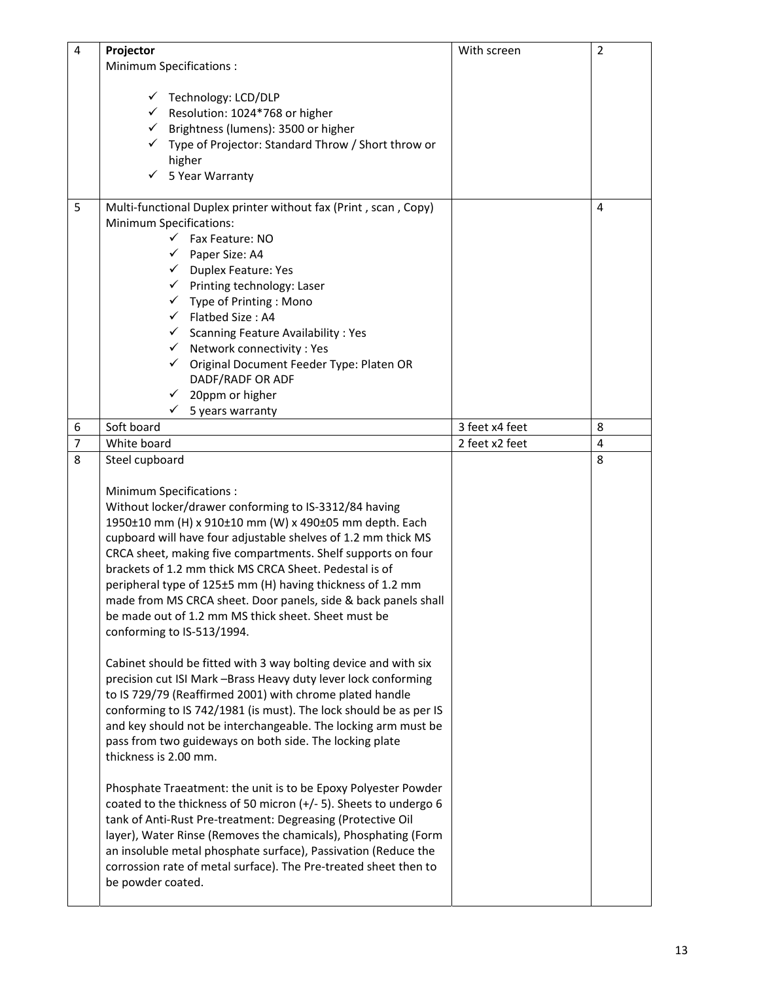| $\overline{4}$      | Projector                                                                                                                                                                                                                                                                                                                                                                                                                | With screen    | $\overline{2}$ |
|---------------------|--------------------------------------------------------------------------------------------------------------------------------------------------------------------------------------------------------------------------------------------------------------------------------------------------------------------------------------------------------------------------------------------------------------------------|----------------|----------------|
|                     | <b>Minimum Specifications:</b>                                                                                                                                                                                                                                                                                                                                                                                           |                |                |
|                     | ← Technology: LCD/DLP<br>$\checkmark$ Resolution: 1024*768 or higher<br>← Brightness (lumens): 3500 or higher<br>√ Type of Projector: Standard Throw / Short throw or<br>higher<br>$\checkmark$ 5 Year Warranty                                                                                                                                                                                                          |                |                |
| 5                   | Multi-functional Duplex printer without fax (Print, scan, Copy)                                                                                                                                                                                                                                                                                                                                                          |                | 4              |
|                     | <b>Minimum Specifications:</b>                                                                                                                                                                                                                                                                                                                                                                                           |                |                |
|                     | Fax Feature: NO                                                                                                                                                                                                                                                                                                                                                                                                          |                |                |
|                     | Paper Size: A4<br>$\checkmark$                                                                                                                                                                                                                                                                                                                                                                                           |                |                |
|                     | Duplex Feature: Yes<br>$\checkmark$                                                                                                                                                                                                                                                                                                                                                                                      |                |                |
|                     | $\checkmark$ Printing technology: Laser                                                                                                                                                                                                                                                                                                                                                                                  |                |                |
|                     | $\checkmark$ Type of Printing : Mono                                                                                                                                                                                                                                                                                                                                                                                     |                |                |
|                     | Flatbed Size: A4<br>$\checkmark$                                                                                                                                                                                                                                                                                                                                                                                         |                |                |
|                     | $\checkmark$ Scanning Feature Availability : Yes                                                                                                                                                                                                                                                                                                                                                                         |                |                |
|                     | Network connectivity: Yes<br>$\checkmark$                                                                                                                                                                                                                                                                                                                                                                                |                |                |
|                     | Original Document Feeder Type: Platen OR<br>$\checkmark$                                                                                                                                                                                                                                                                                                                                                                 |                |                |
|                     | DADF/RADF OR ADF                                                                                                                                                                                                                                                                                                                                                                                                         |                |                |
|                     | 20ppm or higher<br>$\checkmark$<br>$\checkmark$                                                                                                                                                                                                                                                                                                                                                                          |                |                |
|                     | 5 years warranty<br>Soft board                                                                                                                                                                                                                                                                                                                                                                                           | 3 feet x4 feet | 8              |
| 6<br>$\overline{7}$ |                                                                                                                                                                                                                                                                                                                                                                                                                          |                |                |
| 8                   | White board                                                                                                                                                                                                                                                                                                                                                                                                              | 2 feet x2 feet | 4<br>8         |
|                     | Steel cupboard                                                                                                                                                                                                                                                                                                                                                                                                           |                |                |
|                     | Minimum Specifications:                                                                                                                                                                                                                                                                                                                                                                                                  |                |                |
|                     | Without locker/drawer conforming to IS-3312/84 having                                                                                                                                                                                                                                                                                                                                                                    |                |                |
|                     | 1950±10 mm (H) x 910±10 mm (W) x 490±05 mm depth. Each                                                                                                                                                                                                                                                                                                                                                                   |                |                |
|                     | cupboard will have four adjustable shelves of 1.2 mm thick MS                                                                                                                                                                                                                                                                                                                                                            |                |                |
|                     | CRCA sheet, making five compartments. Shelf supports on four                                                                                                                                                                                                                                                                                                                                                             |                |                |
|                     | brackets of 1.2 mm thick MS CRCA Sheet. Pedestal is of                                                                                                                                                                                                                                                                                                                                                                   |                |                |
|                     | peripheral type of 125±5 mm (H) having thickness of 1.2 mm                                                                                                                                                                                                                                                                                                                                                               |                |                |
|                     | made from MS CRCA sheet. Door panels, side & back panels shall                                                                                                                                                                                                                                                                                                                                                           |                |                |
|                     | be made out of 1.2 mm MS thick sheet. Sheet must be                                                                                                                                                                                                                                                                                                                                                                      |                |                |
|                     | conforming to IS-513/1994.                                                                                                                                                                                                                                                                                                                                                                                               |                |                |
|                     | Cabinet should be fitted with 3 way bolting device and with six<br>precision cut ISI Mark -Brass Heavy duty lever lock conforming<br>to IS 729/79 (Reaffirmed 2001) with chrome plated handle<br>conforming to IS 742/1981 (is must). The lock should be as per IS<br>and key should not be interchangeable. The locking arm must be<br>pass from two guideways on both side. The locking plate<br>thickness is 2.00 mm. |                |                |
|                     |                                                                                                                                                                                                                                                                                                                                                                                                                          |                |                |
|                     | Phosphate Traeatment: the unit is to be Epoxy Polyester Powder<br>coated to the thickness of 50 micron (+/- 5). Sheets to undergo 6                                                                                                                                                                                                                                                                                      |                |                |
|                     | tank of Anti-Rust Pre-treatment: Degreasing (Protective Oil<br>layer), Water Rinse (Removes the chamicals), Phosphating (Form<br>an insoluble metal phosphate surface), Passivation (Reduce the<br>corrossion rate of metal surface). The Pre-treated sheet then to<br>be powder coated.                                                                                                                                 |                |                |
|                     |                                                                                                                                                                                                                                                                                                                                                                                                                          |                |                |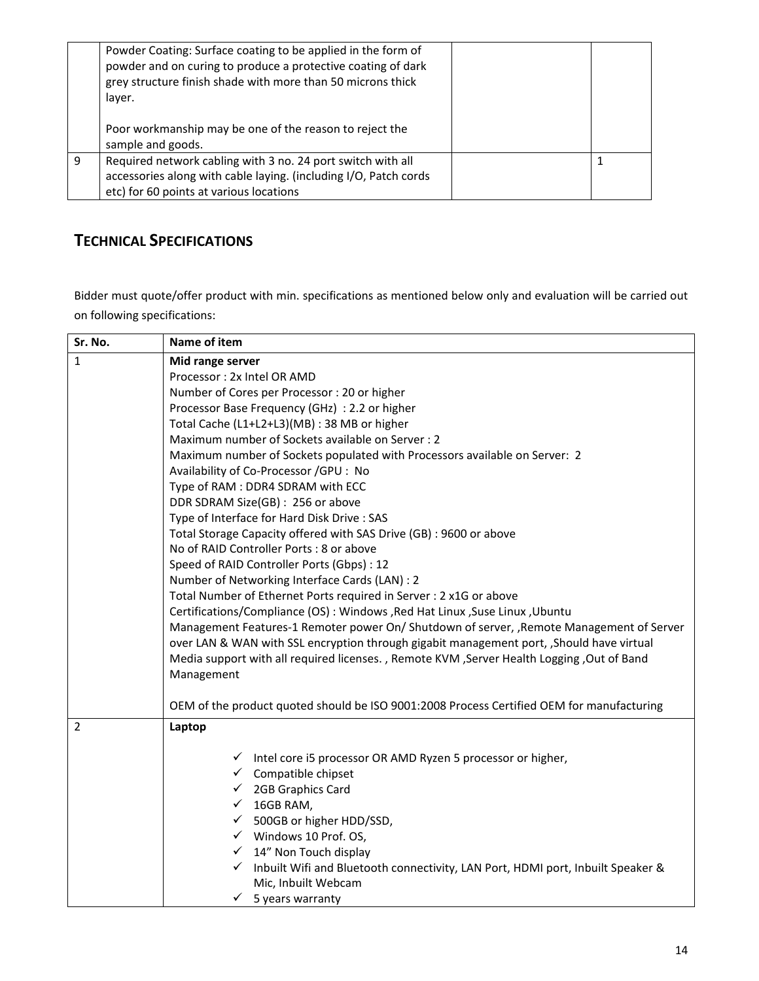|   | Powder Coating: Surface coating to be applied in the form of<br>powder and on curing to produce a protective coating of dark<br>grey structure finish shade with more than 50 microns thick<br>layer. |  |
|---|-------------------------------------------------------------------------------------------------------------------------------------------------------------------------------------------------------|--|
|   | Poor workmanship may be one of the reason to reject the<br>sample and goods.                                                                                                                          |  |
| 9 | Required network cabling with 3 no. 24 port switch with all<br>accessories along with cable laying. (including I/O, Patch cords<br>etc) for 60 points at various locations                            |  |

# **TECHNICAL SPECIFICATIONS**

Bidder must quote/offer product with min. specifications as mentioned below only and evaluation will be carried out on following specifications:

| Sr. No.        | Name of item                                                                                                                                                                                                                                      |  |
|----------------|---------------------------------------------------------------------------------------------------------------------------------------------------------------------------------------------------------------------------------------------------|--|
| $\mathbf{1}$   | Mid range server                                                                                                                                                                                                                                  |  |
|                | Processor: 2x Intel OR AMD                                                                                                                                                                                                                        |  |
|                | Number of Cores per Processor: 20 or higher                                                                                                                                                                                                       |  |
|                | Processor Base Frequency (GHz) : 2.2 or higher                                                                                                                                                                                                    |  |
|                | Total Cache (L1+L2+L3)(MB) : 38 MB or higher                                                                                                                                                                                                      |  |
|                | Maximum number of Sockets available on Server: 2                                                                                                                                                                                                  |  |
|                | Maximum number of Sockets populated with Processors available on Server: 2                                                                                                                                                                        |  |
|                | Availability of Co-Processor /GPU : No                                                                                                                                                                                                            |  |
|                | Type of RAM : DDR4 SDRAM with ECC                                                                                                                                                                                                                 |  |
|                | DDR SDRAM Size(GB): 256 or above                                                                                                                                                                                                                  |  |
|                | Type of Interface for Hard Disk Drive : SAS                                                                                                                                                                                                       |  |
|                | Total Storage Capacity offered with SAS Drive (GB) : 9600 or above                                                                                                                                                                                |  |
|                | No of RAID Controller Ports: 8 or above                                                                                                                                                                                                           |  |
|                | Speed of RAID Controller Ports (Gbps) : 12                                                                                                                                                                                                        |  |
|                | Number of Networking Interface Cards (LAN) : 2                                                                                                                                                                                                    |  |
|                | Total Number of Ethernet Ports required in Server : 2 x1G or above<br>Certifications/Compliance (OS) : Windows , Red Hat Linux , Suse Linux , Ubuntu<br>Management Features-1 Remoter power On/ Shutdown of server, , Remote Management of Server |  |
|                |                                                                                                                                                                                                                                                   |  |
|                |                                                                                                                                                                                                                                                   |  |
|                | over LAN & WAN with SSL encryption through gigabit management port, , Should have virtual                                                                                                                                                         |  |
|                | Media support with all required licenses., Remote KVM, Server Health Logging, Out of Band                                                                                                                                                         |  |
|                | Management                                                                                                                                                                                                                                        |  |
|                | OEM of the product quoted should be ISO 9001:2008 Process Certified OEM for manufacturing                                                                                                                                                         |  |
|                |                                                                                                                                                                                                                                                   |  |
| $\overline{2}$ | Laptop                                                                                                                                                                                                                                            |  |
|                |                                                                                                                                                                                                                                                   |  |
|                | $\checkmark$ Intel core i5 processor OR AMD Ryzen 5 processor or higher,                                                                                                                                                                          |  |
|                | $\checkmark$ Compatible chipset                                                                                                                                                                                                                   |  |
|                | $\checkmark$ 2GB Graphics Card                                                                                                                                                                                                                    |  |
|                | $\checkmark$ 16GB RAM,                                                                                                                                                                                                                            |  |
|                | ✔ 500GB or higher HDD/SSD,                                                                                                                                                                                                                        |  |
|                | $\checkmark$ Windows 10 Prof. OS,                                                                                                                                                                                                                 |  |
|                | $\checkmark$ 14" Non Touch display                                                                                                                                                                                                                |  |
|                | $\checkmark$<br>Inbuilt Wifi and Bluetooth connectivity, LAN Port, HDMI port, Inbuilt Speaker &                                                                                                                                                   |  |
|                | Mic, Inbuilt Webcam                                                                                                                                                                                                                               |  |
|                | $\checkmark$ 5 years warranty                                                                                                                                                                                                                     |  |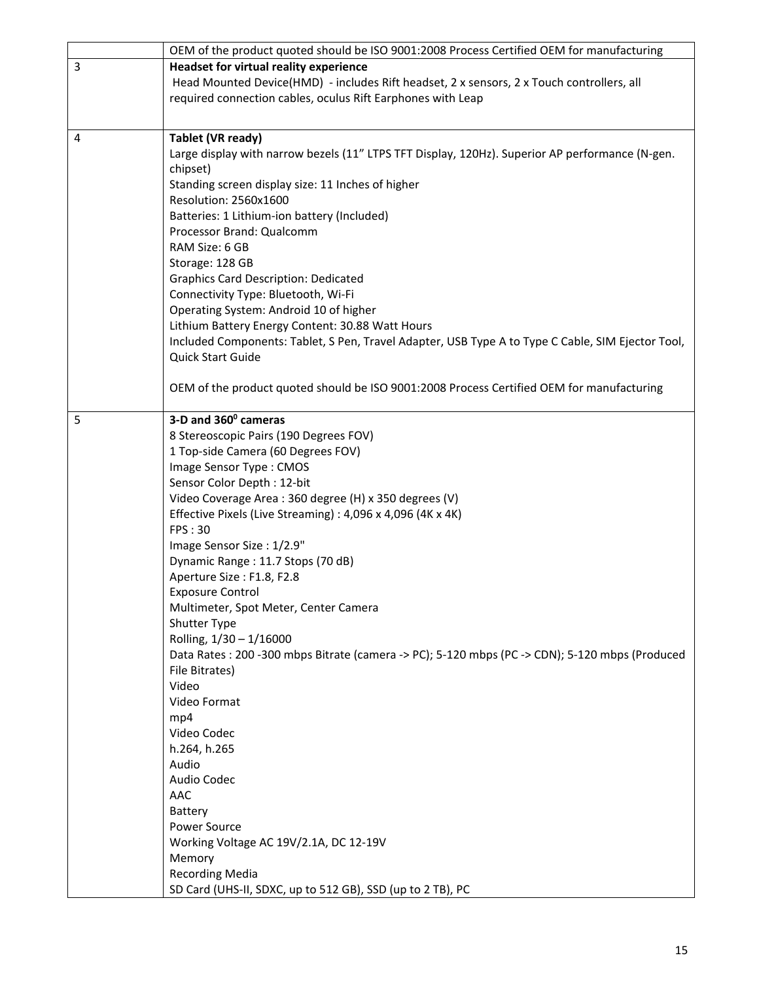|   | OEM of the product quoted should be ISO 9001:2008 Process Certified OEM for manufacturing                         |
|---|-------------------------------------------------------------------------------------------------------------------|
| 3 | <b>Headset for virtual reality experience</b>                                                                     |
|   | Head Mounted Device(HMD) - includes Rift headset, 2 x sensors, 2 x Touch controllers, all                         |
|   | required connection cables, oculus Rift Earphones with Leap                                                       |
|   |                                                                                                                   |
| 4 | Tablet (VR ready)                                                                                                 |
|   | Large display with narrow bezels (11" LTPS TFT Display, 120Hz). Superior AP performance (N-gen.                   |
|   | chipset)                                                                                                          |
|   | Standing screen display size: 11 Inches of higher                                                                 |
|   | Resolution: 2560x1600                                                                                             |
|   | Batteries: 1 Lithium-ion battery (Included)                                                                       |
|   | Processor Brand: Qualcomm                                                                                         |
|   | RAM Size: 6 GB                                                                                                    |
|   | Storage: 128 GB                                                                                                   |
|   | <b>Graphics Card Description: Dedicated</b>                                                                       |
|   | Connectivity Type: Bluetooth, Wi-Fi                                                                               |
|   | Operating System: Android 10 of higher                                                                            |
|   | Lithium Battery Energy Content: 30.88 Watt Hours                                                                  |
|   | Included Components: Tablet, S Pen, Travel Adapter, USB Type A to Type C Cable, SIM Ejector Tool,                 |
|   | Quick Start Guide                                                                                                 |
|   |                                                                                                                   |
|   | OEM of the product quoted should be ISO 9001:2008 Process Certified OEM for manufacturing                         |
|   |                                                                                                                   |
| 5 | 3-D and 360° cameras                                                                                              |
|   | 8 Stereoscopic Pairs (190 Degrees FOV)                                                                            |
|   | 1 Top-side Camera (60 Degrees FOV)                                                                                |
|   | Image Sensor Type: CMOS                                                                                           |
|   | Sensor Color Depth: 12-bit                                                                                        |
|   | Video Coverage Area: 360 degree (H) x 350 degrees (V)                                                             |
|   | Effective Pixels (Live Streaming): 4,096 x 4,096 (4K x 4K)                                                        |
|   | <b>FPS: 30</b>                                                                                                    |
|   | Image Sensor Size: 1/2.9"                                                                                         |
|   | Dynamic Range: 11.7 Stops (70 dB)                                                                                 |
|   | Aperture Size: F1.8, F2.8                                                                                         |
|   | <b>Exposure Control</b>                                                                                           |
|   | Multimeter, Spot Meter, Center Camera                                                                             |
|   | Shutter Type                                                                                                      |
|   | Rolling, 1/30 - 1/16000                                                                                           |
|   | Data Rates : 200 -300 mbps Bitrate (camera -> PC); 5-120 mbps (PC -> CDN); 5-120 mbps (Produced<br>File Bitrates) |
|   | Video                                                                                                             |
|   | Video Format                                                                                                      |
|   | mp4                                                                                                               |
|   | Video Codec                                                                                                       |
|   | h.264, h.265                                                                                                      |
|   | Audio                                                                                                             |
|   | Audio Codec                                                                                                       |
|   | AAC                                                                                                               |
|   | Battery                                                                                                           |
|   | Power Source                                                                                                      |
|   | Working Voltage AC 19V/2.1A, DC 12-19V                                                                            |
|   | Memory                                                                                                            |
|   | <b>Recording Media</b>                                                                                            |
|   | SD Card (UHS-II, SDXC, up to 512 GB), SSD (up to 2 TB), PC                                                        |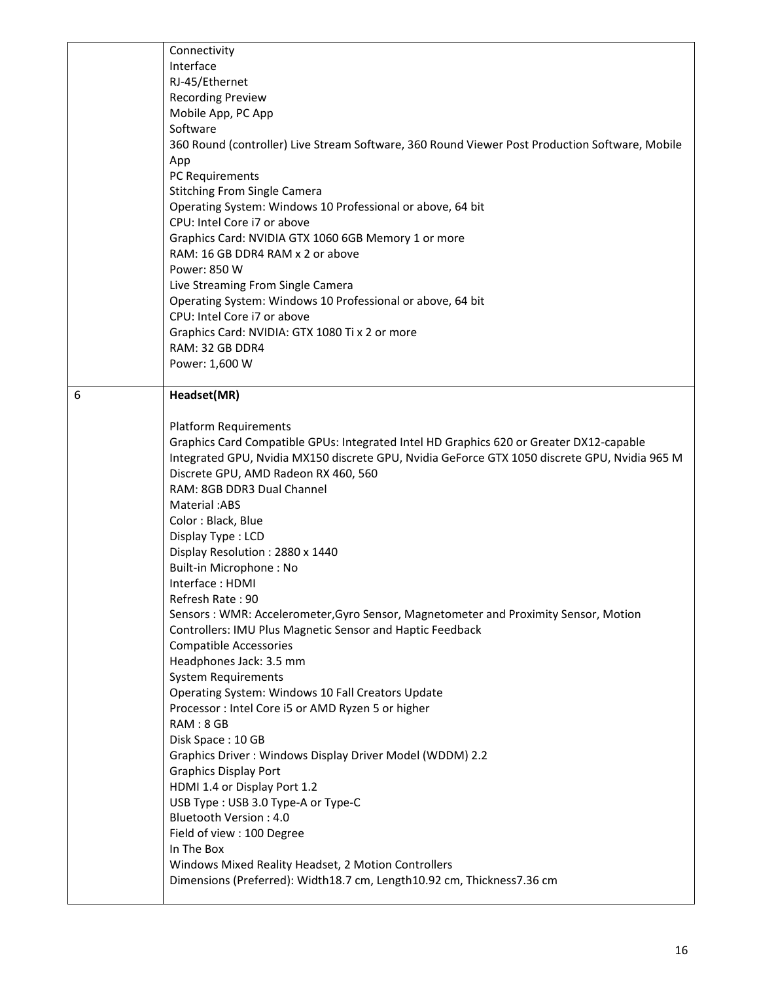|   | Connectivity<br>Interface<br>RJ-45/Ethernet<br><b>Recording Preview</b><br>Mobile App, PC App<br>Software<br>360 Round (controller) Live Stream Software, 360 Round Viewer Post Production Software, Mobile<br>App<br>PC Requirements<br><b>Stitching From Single Camera</b><br>Operating System: Windows 10 Professional or above, 64 bit<br>CPU: Intel Core i7 or above<br>Graphics Card: NVIDIA GTX 1060 6GB Memory 1 or more<br>RAM: 16 GB DDR4 RAM x 2 or above<br>Power: 850 W<br>Live Streaming From Single Camera<br>Operating System: Windows 10 Professional or above, 64 bit<br>CPU: Intel Core i7 or above<br>Graphics Card: NVIDIA: GTX 1080 Ti x 2 or more<br>RAM: 32 GB DDR4<br>Power: 1,600 W                                                                                                                                                                                                                                                                                                                                                                                                                                                                                                                                             |
|---|-----------------------------------------------------------------------------------------------------------------------------------------------------------------------------------------------------------------------------------------------------------------------------------------------------------------------------------------------------------------------------------------------------------------------------------------------------------------------------------------------------------------------------------------------------------------------------------------------------------------------------------------------------------------------------------------------------------------------------------------------------------------------------------------------------------------------------------------------------------------------------------------------------------------------------------------------------------------------------------------------------------------------------------------------------------------------------------------------------------------------------------------------------------------------------------------------------------------------------------------------------------|
| 6 | Headset(MR)<br><b>Platform Requirements</b><br>Graphics Card Compatible GPUs: Integrated Intel HD Graphics 620 or Greater DX12-capable<br>Integrated GPU, Nvidia MX150 discrete GPU, Nvidia GeForce GTX 1050 discrete GPU, Nvidia 965 M<br>Discrete GPU, AMD Radeon RX 460, 560<br>RAM: 8GB DDR3 Dual Channel<br>Material: ABS<br>Color: Black, Blue<br>Display Type: LCD<br>Display Resolution: 2880 x 1440<br>Built-in Microphone: No<br>Interface: HDMI<br>Refresh Rate: 90<br>Sensors: WMR: Accelerometer, Gyro Sensor, Magnetometer and Proximity Sensor, Motion<br>Controllers: IMU Plus Magnetic Sensor and Haptic Feedback<br><b>Compatible Accessories</b><br>Headphones Jack: 3.5 mm<br><b>System Requirements</b><br>Operating System: Windows 10 Fall Creators Update<br>Processor : Intel Core i5 or AMD Ryzen 5 or higher<br>RAM: 8 GB<br>Disk Space: 10 GB<br>Graphics Driver: Windows Display Driver Model (WDDM) 2.2<br><b>Graphics Display Port</b><br>HDMI 1.4 or Display Port 1.2<br>USB Type: USB 3.0 Type-A or Type-C<br><b>Bluetooth Version: 4.0</b><br>Field of view : 100 Degree<br>In The Box<br>Windows Mixed Reality Headset, 2 Motion Controllers<br>Dimensions (Preferred): Width18.7 cm, Length10.92 cm, Thickness7.36 cm |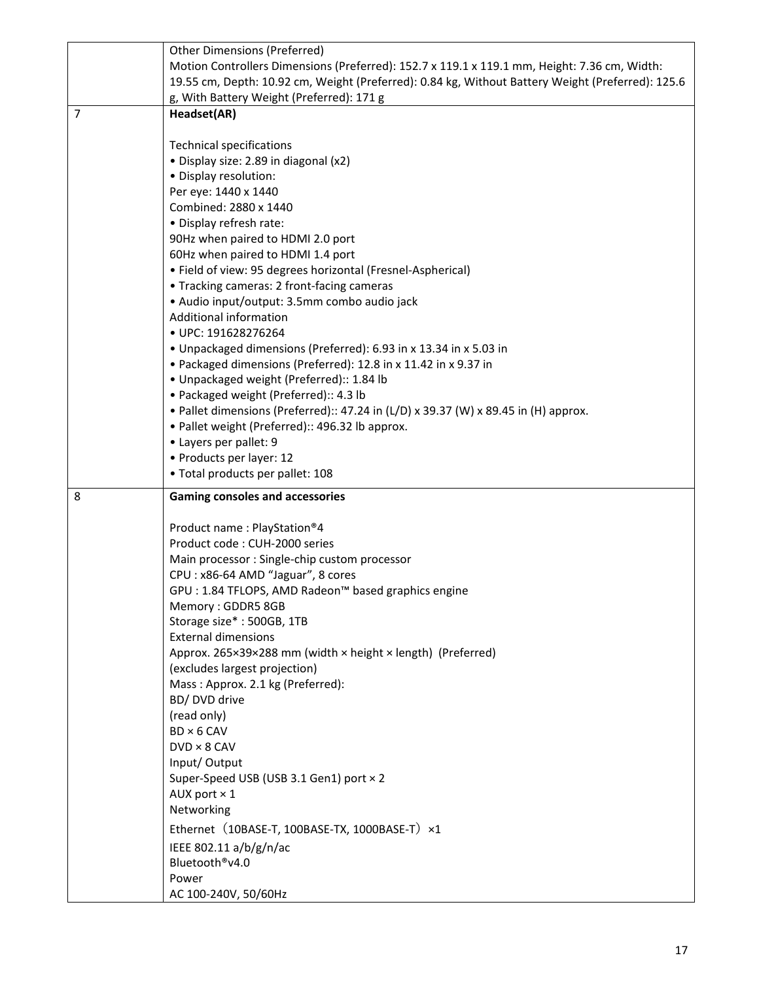|                | <b>Other Dimensions (Preferred)</b>                                                                       |
|----------------|-----------------------------------------------------------------------------------------------------------|
|                | Motion Controllers Dimensions (Preferred): 152.7 x 119.1 x 119.1 mm, Height: 7.36 cm, Width:              |
|                | 19.55 cm, Depth: 10.92 cm, Weight (Preferred): 0.84 kg, Without Battery Weight (Preferred): 125.6         |
|                | g, With Battery Weight (Preferred): 171 g                                                                 |
| $\overline{7}$ | Headset(AR)                                                                                               |
|                |                                                                                                           |
|                | <b>Technical specifications</b>                                                                           |
|                | · Display size: 2.89 in diagonal (x2)                                                                     |
|                | · Display resolution:                                                                                     |
|                | Per eye: 1440 x 1440                                                                                      |
|                | Combined: 2880 x 1440                                                                                     |
|                | · Display refresh rate:                                                                                   |
|                | 90Hz when paired to HDMI 2.0 port                                                                         |
|                | 60Hz when paired to HDMI 1.4 port                                                                         |
|                | • Field of view: 95 degrees horizontal (Fresnel-Aspherical)<br>• Tracking cameras: 2 front-facing cameras |
|                | · Audio input/output: 3.5mm combo audio jack                                                              |
|                | Additional information                                                                                    |
|                | · UPC: 191628276264                                                                                       |
|                | • Unpackaged dimensions (Preferred): 6.93 in x 13.34 in x 5.03 in                                         |
|                | • Packaged dimensions (Preferred): 12.8 in x 11.42 in x 9.37 in                                           |
|                | · Unpackaged weight (Preferred):: 1.84 lb                                                                 |
|                | • Packaged weight (Preferred):: 4.3 lb                                                                    |
|                | • Pallet dimensions (Preferred):: 47.24 in (L/D) x 39.37 (W) x 89.45 in (H) approx.                       |
|                | • Pallet weight (Preferred):: 496.32 lb approx.                                                           |
|                | • Layers per pallet: 9                                                                                    |
|                | • Products per layer: 12                                                                                  |
|                |                                                                                                           |
|                | · Total products per pallet: 108                                                                          |
|                |                                                                                                           |
| 8              | <b>Gaming consoles and accessories</b>                                                                    |
|                | Product name: PlayStation®4                                                                               |
|                | Product code: CUH-2000 series                                                                             |
|                | Main processor: Single-chip custom processor                                                              |
|                | CPU: x86-64 AMD "Jaguar", 8 cores                                                                         |
|                | GPU : 1.84 TFLOPS, AMD Radeon™ based graphics engine                                                      |
|                | Memory: GDDR5 8GB                                                                                         |
|                | Storage size*: 500GB, 1TB                                                                                 |
|                | <b>External dimensions</b>                                                                                |
|                | Approx. 265×39×288 mm (width × height × length) (Preferred)                                               |
|                | (excludes largest projection)                                                                             |
|                | Mass: Approx. 2.1 kg (Preferred):                                                                         |
|                | BD/DVD drive                                                                                              |
|                | (read only)                                                                                               |
|                | $BD \times 6$ CAV                                                                                         |
|                | $DVD \times 8$ CAV                                                                                        |
|                | Input/Output                                                                                              |
|                | Super-Speed USB (USB 3.1 Gen1) port × 2                                                                   |
|                | AUX port $\times$ 1                                                                                       |
|                | Networking                                                                                                |
|                | Ethernet (10BASE-T, 100BASE-TX, 1000BASE-T) ×1                                                            |
|                | IEEE 802.11 a/b/g/n/ac                                                                                    |
|                | Bluetooth®v4.0                                                                                            |
|                | Power<br>AC 100-240V, 50/60Hz                                                                             |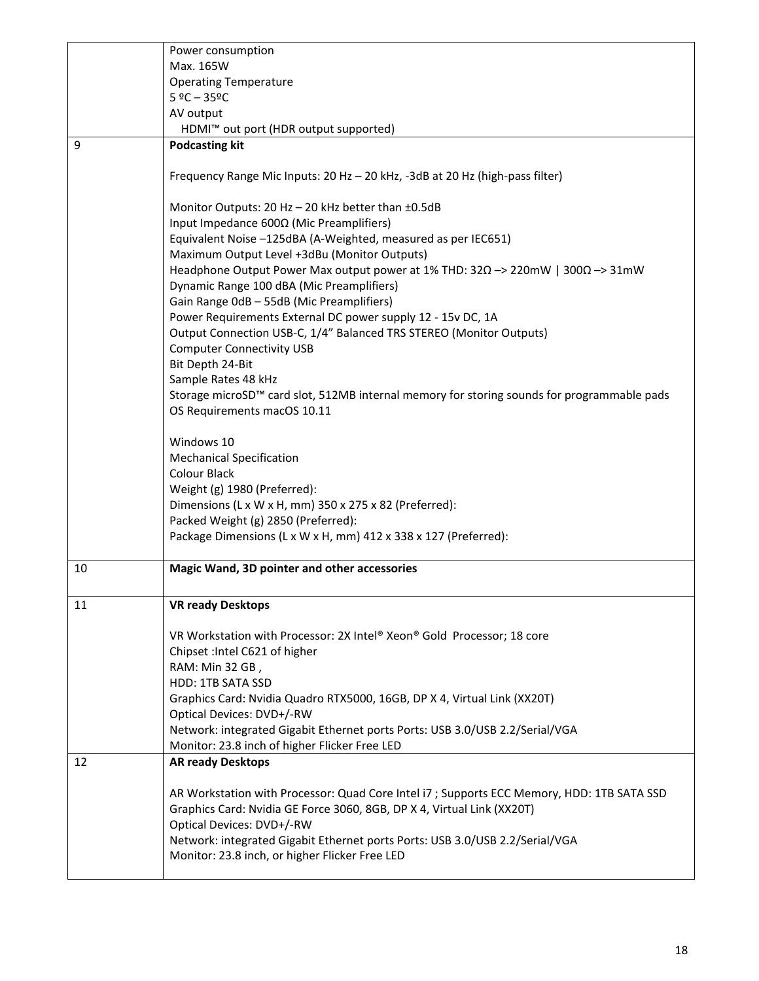|    | Power consumption                                                                                                             |
|----|-------------------------------------------------------------------------------------------------------------------------------|
|    | Max. 165W                                                                                                                     |
|    | <b>Operating Temperature</b>                                                                                                  |
|    | $5 °C - 35 °C$                                                                                                                |
|    | AV output                                                                                                                     |
|    | HDMI™ out port (HDR output supported)                                                                                         |
| 9  | <b>Podcasting kit</b>                                                                                                         |
|    |                                                                                                                               |
|    | Frequency Range Mic Inputs: 20 Hz - 20 kHz, -3dB at 20 Hz (high-pass filter)                                                  |
|    |                                                                                                                               |
|    | Monitor Outputs: 20 Hz - 20 kHz better than ±0.5dB<br>Input Impedance 600Ω (Mic Preamplifiers)                                |
|    | Equivalent Noise -125dBA (A-Weighted, measured as per IEC651)                                                                 |
|    | Maximum Output Level +3dBu (Monitor Outputs)                                                                                  |
|    | Headphone Output Power Max output power at 1% THD: $32\Omega \rightarrow 220$ mW   $300\Omega \rightarrow 31$ mW              |
|    | Dynamic Range 100 dBA (Mic Preamplifiers)                                                                                     |
|    | Gain Range 0dB - 55dB (Mic Preamplifiers)                                                                                     |
|    | Power Requirements External DC power supply 12 - 15v DC, 1A                                                                   |
|    | Output Connection USB-C, 1/4" Balanced TRS STEREO (Monitor Outputs)                                                           |
|    | <b>Computer Connectivity USB</b>                                                                                              |
|    | Bit Depth 24-Bit                                                                                                              |
|    | Sample Rates 48 kHz                                                                                                           |
|    | Storage microSD™ card slot, 512MB internal memory for storing sounds for programmable pads                                    |
|    | OS Requirements macOS 10.11                                                                                                   |
|    |                                                                                                                               |
|    | Windows 10                                                                                                                    |
|    | <b>Mechanical Specification</b>                                                                                               |
|    | <b>Colour Black</b>                                                                                                           |
|    | Weight (g) 1980 (Preferred):                                                                                                  |
|    | Dimensions (L x W x H, mm) 350 x 275 x 82 (Preferred):                                                                        |
|    | Packed Weight (g) 2850 (Preferred):                                                                                           |
|    | Package Dimensions (L x W x H, mm) 412 x 338 x 127 (Preferred):                                                               |
| 10 | Magic Wand, 3D pointer and other accessories                                                                                  |
|    |                                                                                                                               |
| 11 | <b>VR ready Desktops</b>                                                                                                      |
|    |                                                                                                                               |
|    | VR Workstation with Processor: 2X Intel® Xeon® Gold Processor; 18 core                                                        |
|    | Chipset : Intel C621 of higher                                                                                                |
|    | RAM: Min 32 GB,                                                                                                               |
|    | HDD: 1TB SATA SSD                                                                                                             |
|    | Graphics Card: Nvidia Quadro RTX5000, 16GB, DP X 4, Virtual Link (XX20T)                                                      |
|    | Optical Devices: DVD+/-RW                                                                                                     |
|    | Network: integrated Gigabit Ethernet ports Ports: USB 3.0/USB 2.2/Serial/VGA<br>Monitor: 23.8 inch of higher Flicker Free LED |
| 12 | <b>AR ready Desktops</b>                                                                                                      |
|    |                                                                                                                               |
|    | AR Workstation with Processor: Quad Core Intel i7 ; Supports ECC Memory, HDD: 1TB SATA SSD                                    |
|    | Graphics Card: Nvidia GE Force 3060, 8GB, DP X 4, Virtual Link (XX20T)                                                        |
|    | Optical Devices: DVD+/-RW                                                                                                     |
|    | Network: integrated Gigabit Ethernet ports Ports: USB 3.0/USB 2.2/Serial/VGA                                                  |
|    | Monitor: 23.8 inch, or higher Flicker Free LED                                                                                |
|    |                                                                                                                               |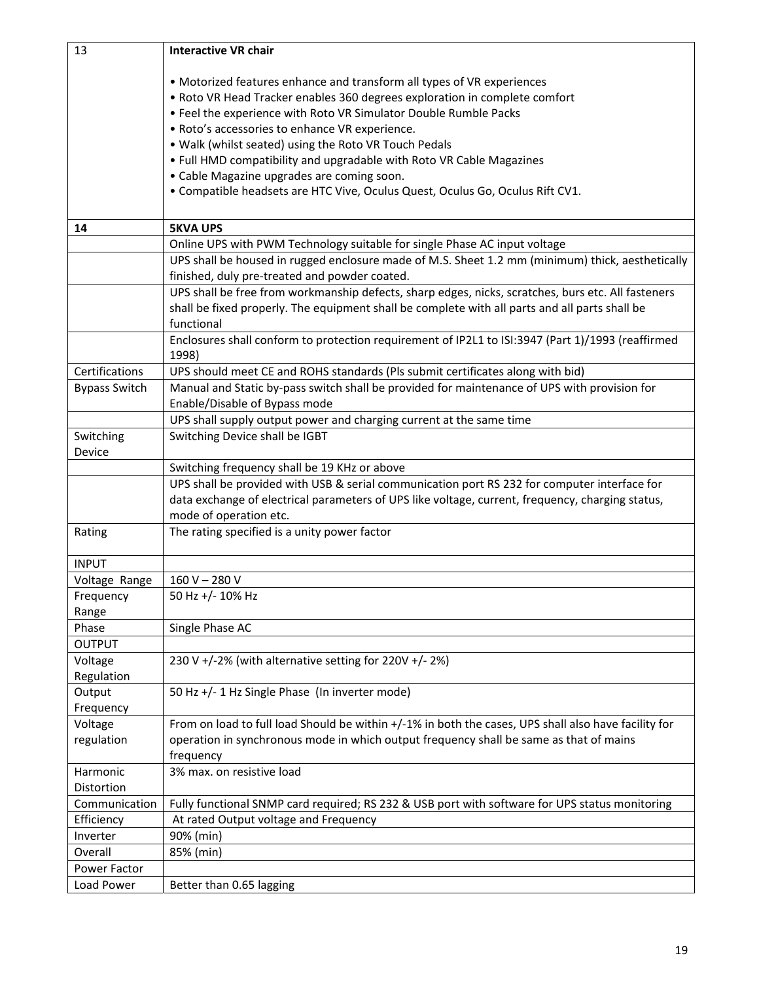| 13                   | <b>Interactive VR chair</b>                                                                                                                       |
|----------------------|---------------------------------------------------------------------------------------------------------------------------------------------------|
|                      |                                                                                                                                                   |
|                      | • Motorized features enhance and transform all types of VR experiences                                                                            |
|                      | • Roto VR Head Tracker enables 360 degrees exploration in complete comfort                                                                        |
|                      | • Feel the experience with Roto VR Simulator Double Rumble Packs                                                                                  |
|                      | · Roto's accessories to enhance VR experience.                                                                                                    |
|                      | . Walk (whilst seated) using the Roto VR Touch Pedals                                                                                             |
|                      | . Full HMD compatibility and upgradable with Roto VR Cable Magazines                                                                              |
|                      | • Cable Magazine upgrades are coming soon.                                                                                                        |
|                      | • Compatible headsets are HTC Vive, Oculus Quest, Oculus Go, Oculus Rift CV1.                                                                     |
|                      |                                                                                                                                                   |
| 14                   | <b>5KVA UPS</b>                                                                                                                                   |
|                      | Online UPS with PWM Technology suitable for single Phase AC input voltage                                                                         |
|                      | UPS shall be housed in rugged enclosure made of M.S. Sheet 1.2 mm (minimum) thick, aesthetically<br>finished, duly pre-treated and powder coated. |
|                      | UPS shall be free from workmanship defects, sharp edges, nicks, scratches, burs etc. All fasteners                                                |
|                      | shall be fixed properly. The equipment shall be complete with all parts and all parts shall be                                                    |
|                      | functional                                                                                                                                        |
|                      | Enclosures shall conform to protection requirement of IP2L1 to ISI:3947 (Part 1)/1993 (reaffirmed<br>1998)                                        |
| Certifications       | UPS should meet CE and ROHS standards (Pls submit certificates along with bid)                                                                    |
| <b>Bypass Switch</b> | Manual and Static by-pass switch shall be provided for maintenance of UPS with provision for                                                      |
|                      | Enable/Disable of Bypass mode                                                                                                                     |
|                      | UPS shall supply output power and charging current at the same time                                                                               |
| Switching            | Switching Device shall be IGBT                                                                                                                    |
| Device               |                                                                                                                                                   |
|                      | Switching frequency shall be 19 KHz or above                                                                                                      |
|                      | UPS shall be provided with USB & serial communication port RS 232 for computer interface for                                                      |
|                      | data exchange of electrical parameters of UPS like voltage, current, frequency, charging status,                                                  |
|                      | mode of operation etc.                                                                                                                            |
| Rating               | The rating specified is a unity power factor                                                                                                      |
| <b>INPUT</b>         |                                                                                                                                                   |
| Voltage Range        | $160 V - 280 V$                                                                                                                                   |
| Frequency            | 50 Hz +/- 10% Hz                                                                                                                                  |
| Range                |                                                                                                                                                   |
| Phase                | Single Phase AC                                                                                                                                   |
| <b>OUTPUT</b>        |                                                                                                                                                   |
| Voltage              | 230 V +/-2% (with alternative setting for 220V +/-2%)                                                                                             |
| Regulation           |                                                                                                                                                   |
| Output               | 50 Hz +/- 1 Hz Single Phase (In inverter mode)                                                                                                    |
| Frequency            |                                                                                                                                                   |
| Voltage              | From on load to full load Should be within +/-1% in both the cases, UPS shall also have facility for                                              |
| regulation           | operation in synchronous mode in which output frequency shall be same as that of mains                                                            |
|                      | frequency                                                                                                                                         |
| Harmonic             | 3% max. on resistive load                                                                                                                         |
| Distortion           |                                                                                                                                                   |
| Communication        | Fully functional SNMP card required; RS 232 & USB port with software for UPS status monitoring                                                    |
| Efficiency           | At rated Output voltage and Frequency                                                                                                             |
| Inverter             | 90% (min)                                                                                                                                         |
| Overall              | 85% (min)                                                                                                                                         |
| Power Factor         |                                                                                                                                                   |
| Load Power           | Better than 0.65 lagging                                                                                                                          |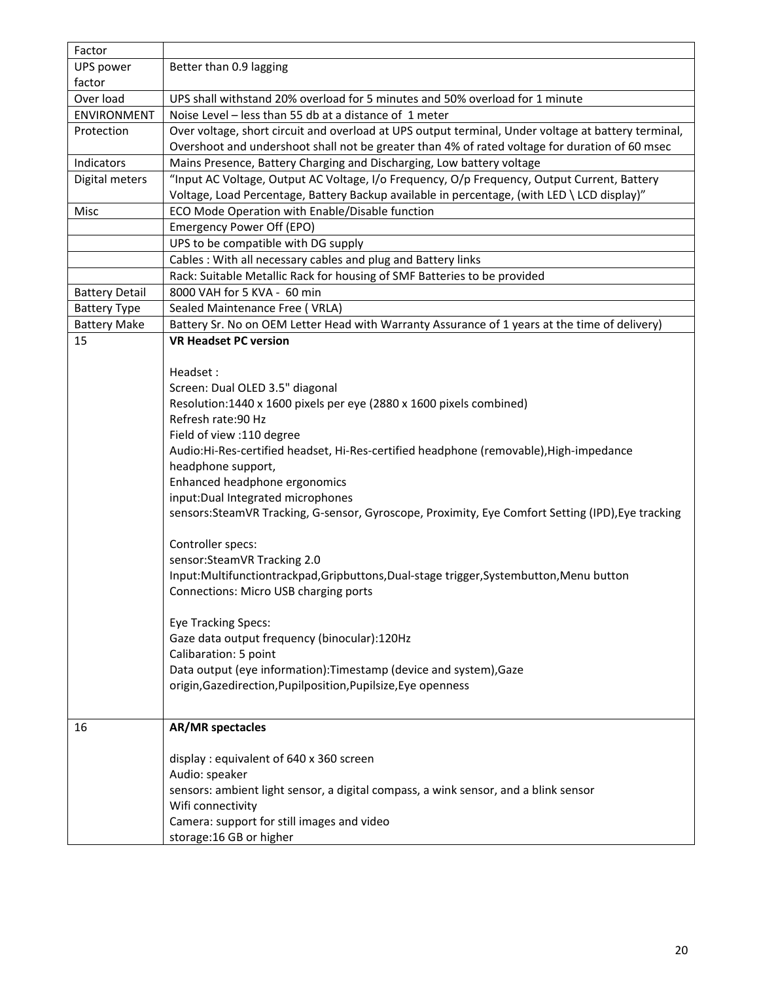| Factor                |                                                                                                                                         |  |  |  |
|-----------------------|-----------------------------------------------------------------------------------------------------------------------------------------|--|--|--|
| UPS power             | Better than 0.9 lagging                                                                                                                 |  |  |  |
| factor                |                                                                                                                                         |  |  |  |
| Over load             | UPS shall withstand 20% overload for 5 minutes and 50% overload for 1 minute                                                            |  |  |  |
| <b>ENVIRONMENT</b>    | Noise Level - less than 55 db at a distance of 1 meter                                                                                  |  |  |  |
| Protection            | Over voltage, short circuit and overload at UPS output terminal, Under voltage at battery terminal,                                     |  |  |  |
|                       | Overshoot and undershoot shall not be greater than 4% of rated voltage for duration of 60 msec                                          |  |  |  |
| Indicators            | Mains Presence, Battery Charging and Discharging, Low battery voltage                                                                   |  |  |  |
| Digital meters        | "Input AC Voltage, Output AC Voltage, I/o Frequency, O/p Frequency, Output Current, Battery                                             |  |  |  |
|                       | Voltage, Load Percentage, Battery Backup available in percentage, (with LED \ LCD display)"                                             |  |  |  |
| Misc                  | ECO Mode Operation with Enable/Disable function                                                                                         |  |  |  |
|                       | Emergency Power Off (EPO)                                                                                                               |  |  |  |
|                       | UPS to be compatible with DG supply                                                                                                     |  |  |  |
|                       | Cables: With all necessary cables and plug and Battery links                                                                            |  |  |  |
|                       | Rack: Suitable Metallic Rack for housing of SMF Batteries to be provided                                                                |  |  |  |
| <b>Battery Detail</b> | 8000 VAH for 5 KVA - 60 min                                                                                                             |  |  |  |
| <b>Battery Type</b>   | Sealed Maintenance Free (VRLA)                                                                                                          |  |  |  |
| <b>Battery Make</b>   | Battery Sr. No on OEM Letter Head with Warranty Assurance of 1 years at the time of delivery)                                           |  |  |  |
| 15                    | <b>VR Headset PC version</b>                                                                                                            |  |  |  |
|                       |                                                                                                                                         |  |  |  |
|                       | Headset:                                                                                                                                |  |  |  |
|                       | Screen: Dual OLED 3.5" diagonal                                                                                                         |  |  |  |
|                       | Resolution:1440 x 1600 pixels per eye (2880 x 1600 pixels combined)                                                                     |  |  |  |
|                       | Refresh rate: 90 Hz                                                                                                                     |  |  |  |
|                       | Field of view :110 degree                                                                                                               |  |  |  |
|                       | Audio:Hi-Res-certified headset, Hi-Res-certified headphone (removable), High-impedance<br>headphone support,                            |  |  |  |
|                       |                                                                                                                                         |  |  |  |
|                       | Enhanced headphone ergonomics                                                                                                           |  |  |  |
|                       | input: Dual Integrated microphones<br>sensors:SteamVR Tracking, G-sensor, Gyroscope, Proximity, Eye Comfort Setting (IPD), Eye tracking |  |  |  |
|                       |                                                                                                                                         |  |  |  |
|                       | Controller specs:                                                                                                                       |  |  |  |
|                       | sensor:SteamVR Tracking 2.0                                                                                                             |  |  |  |
|                       | Input:Multifunctiontrackpad,Gripbuttons,Dual-stage trigger,Systembutton,Menu button                                                     |  |  |  |
|                       | Connections: Micro USB charging ports                                                                                                   |  |  |  |
|                       |                                                                                                                                         |  |  |  |
|                       | <b>Eye Tracking Specs:</b>                                                                                                              |  |  |  |
|                       | Gaze data output frequency (binocular):120Hz                                                                                            |  |  |  |
|                       | Calibaration: 5 point                                                                                                                   |  |  |  |
|                       | Data output (eye information): Timestamp (device and system), Gaze                                                                      |  |  |  |
|                       | origin, Gazedirection, Pupilposition, Pupilsize, Eye openness                                                                           |  |  |  |
|                       |                                                                                                                                         |  |  |  |
|                       |                                                                                                                                         |  |  |  |
| 16                    | <b>AR/MR spectacles</b>                                                                                                                 |  |  |  |
|                       |                                                                                                                                         |  |  |  |
|                       | display: equivalent of 640 x 360 screen                                                                                                 |  |  |  |
|                       | Audio: speaker                                                                                                                          |  |  |  |
|                       | sensors: ambient light sensor, a digital compass, a wink sensor, and a blink sensor<br>Wifi connectivity                                |  |  |  |
|                       | Camera: support for still images and video                                                                                              |  |  |  |
|                       | storage: 16 GB or higher                                                                                                                |  |  |  |
|                       |                                                                                                                                         |  |  |  |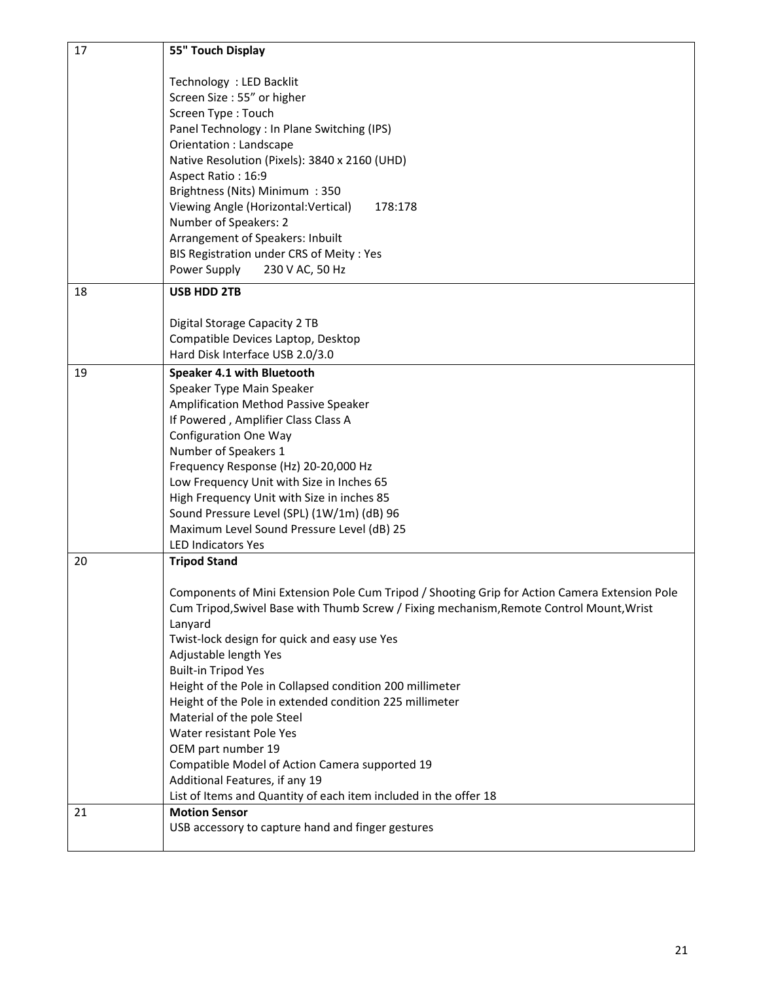| 17 | 55" Touch Display                                                                             |
|----|-----------------------------------------------------------------------------------------------|
|    | Technology : LED Backlit                                                                      |
|    | Screen Size: 55" or higher                                                                    |
|    | Screen Type: Touch                                                                            |
|    | Panel Technology : In Plane Switching (IPS)                                                   |
|    | Orientation : Landscape                                                                       |
|    | Native Resolution (Pixels): 3840 x 2160 (UHD)                                                 |
|    | Aspect Ratio: 16:9                                                                            |
|    | Brightness (Nits) Minimum : 350                                                               |
|    | Viewing Angle (Horizontal: Vertical)<br>178:178                                               |
|    | Number of Speakers: 2<br>Arrangement of Speakers: Inbuilt                                     |
|    | BIS Registration under CRS of Meity : Yes                                                     |
|    | Power Supply<br>230 V AC, 50 Hz                                                               |
| 18 | <b>USB HDD 2TB</b>                                                                            |
|    |                                                                                               |
|    | Digital Storage Capacity 2 TB                                                                 |
|    | Compatible Devices Laptop, Desktop                                                            |
|    | Hard Disk Interface USB 2.0/3.0                                                               |
| 19 | Speaker 4.1 with Bluetooth                                                                    |
|    | Speaker Type Main Speaker                                                                     |
|    | Amplification Method Passive Speaker<br>If Powered, Amplifier Class Class A                   |
|    | <b>Configuration One Way</b>                                                                  |
|    | Number of Speakers 1                                                                          |
|    | Frequency Response (Hz) 20-20,000 Hz                                                          |
|    | Low Frequency Unit with Size in Inches 65                                                     |
|    | High Frequency Unit with Size in inches 85                                                    |
|    | Sound Pressure Level (SPL) (1W/1m) (dB) 96                                                    |
|    | Maximum Level Sound Pressure Level (dB) 25                                                    |
|    | <b>LED Indicators Yes</b>                                                                     |
| 20 | <b>Tripod Stand</b>                                                                           |
|    | Components of Mini Extension Pole Cum Tripod / Shooting Grip for Action Camera Extension Pole |
|    | Cum Tripod, Swivel Base with Thumb Screw / Fixing mechanism, Remote Control Mount, Wrist      |
|    | Lanyard                                                                                       |
|    | Twist-lock design for quick and easy use Yes                                                  |
|    | Adjustable length Yes                                                                         |
|    | <b>Built-in Tripod Yes</b>                                                                    |
|    | Height of the Pole in Collapsed condition 200 millimeter                                      |
|    | Height of the Pole in extended condition 225 millimeter                                       |
|    | Material of the pole Steel<br>Water resistant Pole Yes                                        |
|    | OEM part number 19                                                                            |
|    | Compatible Model of Action Camera supported 19                                                |
|    | Additional Features, if any 19                                                                |
|    | List of Items and Quantity of each item included in the offer 18                              |
| 21 | <b>Motion Sensor</b>                                                                          |
|    | USB accessory to capture hand and finger gestures                                             |
|    |                                                                                               |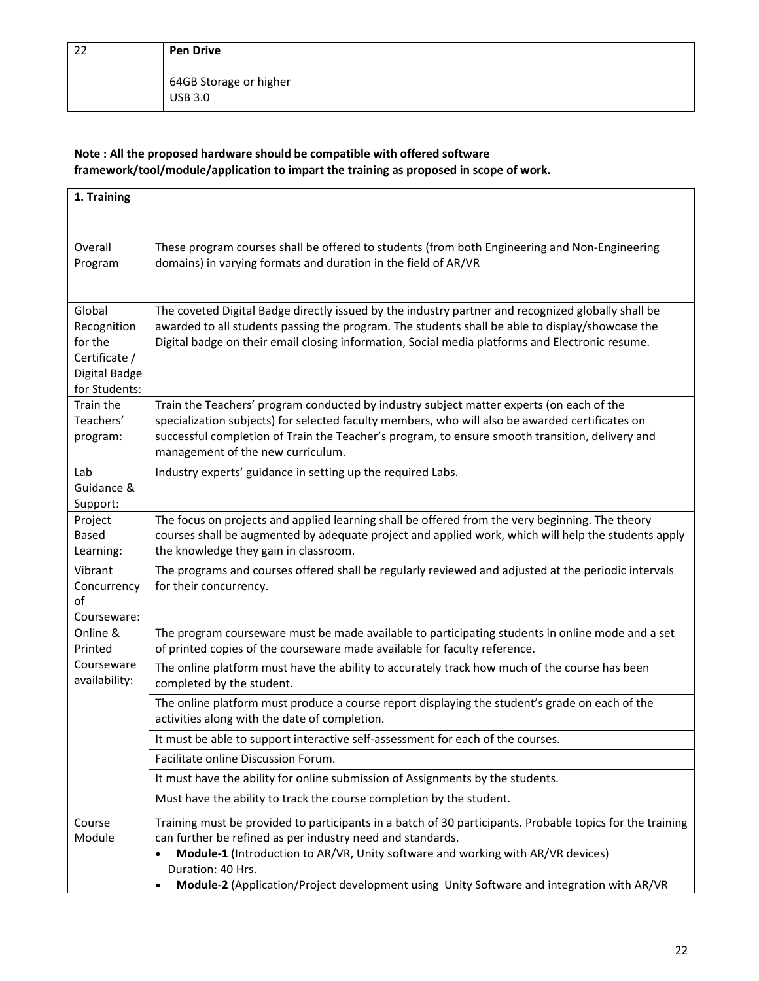64GB Storage or higher USB 3.0

## **Note : All the proposed hardware should be compatible with offered software framework/tool/module/application to impart the training as proposed in scope of work.**

| 1. Training                                                                         |                                                                                                                                                                                                                                                                                                                                                                              |
|-------------------------------------------------------------------------------------|------------------------------------------------------------------------------------------------------------------------------------------------------------------------------------------------------------------------------------------------------------------------------------------------------------------------------------------------------------------------------|
|                                                                                     |                                                                                                                                                                                                                                                                                                                                                                              |
| Overall<br>Program                                                                  | These program courses shall be offered to students (from both Engineering and Non-Engineering<br>domains) in varying formats and duration in the field of AR/VR                                                                                                                                                                                                              |
| Global<br>Recognition<br>for the<br>Certificate /<br>Digital Badge<br>for Students: | The coveted Digital Badge directly issued by the industry partner and recognized globally shall be<br>awarded to all students passing the program. The students shall be able to display/showcase the<br>Digital badge on their email closing information, Social media platforms and Electronic resume.                                                                     |
| Train the<br>Teachers'<br>program:                                                  | Train the Teachers' program conducted by industry subject matter experts (on each of the<br>specialization subjects) for selected faculty members, who will also be awarded certificates on<br>successful completion of Train the Teacher's program, to ensure smooth transition, delivery and<br>management of the new curriculum.                                          |
| Lab<br>Guidance &<br>Support:                                                       | Industry experts' guidance in setting up the required Labs.                                                                                                                                                                                                                                                                                                                  |
| Project<br><b>Based</b><br>Learning:                                                | The focus on projects and applied learning shall be offered from the very beginning. The theory<br>courses shall be augmented by adequate project and applied work, which will help the students apply<br>the knowledge they gain in classroom.                                                                                                                              |
| Vibrant<br>Concurrency<br>of<br>Courseware:                                         | The programs and courses offered shall be regularly reviewed and adjusted at the periodic intervals<br>for their concurrency.                                                                                                                                                                                                                                                |
| Online &<br>Printed                                                                 | The program courseware must be made available to participating students in online mode and a set<br>of printed copies of the courseware made available for faculty reference.                                                                                                                                                                                                |
| Courseware<br>availability:                                                         | The online platform must have the ability to accurately track how much of the course has been<br>completed by the student.                                                                                                                                                                                                                                                   |
|                                                                                     | The online platform must produce a course report displaying the student's grade on each of the<br>activities along with the date of completion.                                                                                                                                                                                                                              |
|                                                                                     | It must be able to support interactive self-assessment for each of the courses.                                                                                                                                                                                                                                                                                              |
|                                                                                     | Facilitate online Discussion Forum.                                                                                                                                                                                                                                                                                                                                          |
|                                                                                     | It must have the ability for online submission of Assignments by the students.                                                                                                                                                                                                                                                                                               |
|                                                                                     | Must have the ability to track the course completion by the student.                                                                                                                                                                                                                                                                                                         |
| Course<br>Module                                                                    | Training must be provided to participants in a batch of 30 participants. Probable topics for the training<br>can further be refined as per industry need and standards.<br>Module-1 (Introduction to AR/VR, Unity software and working with AR/VR devices)<br>Duration: 40 Hrs.<br>Module-2 (Application/Project development using Unity Software and integration with AR/VR |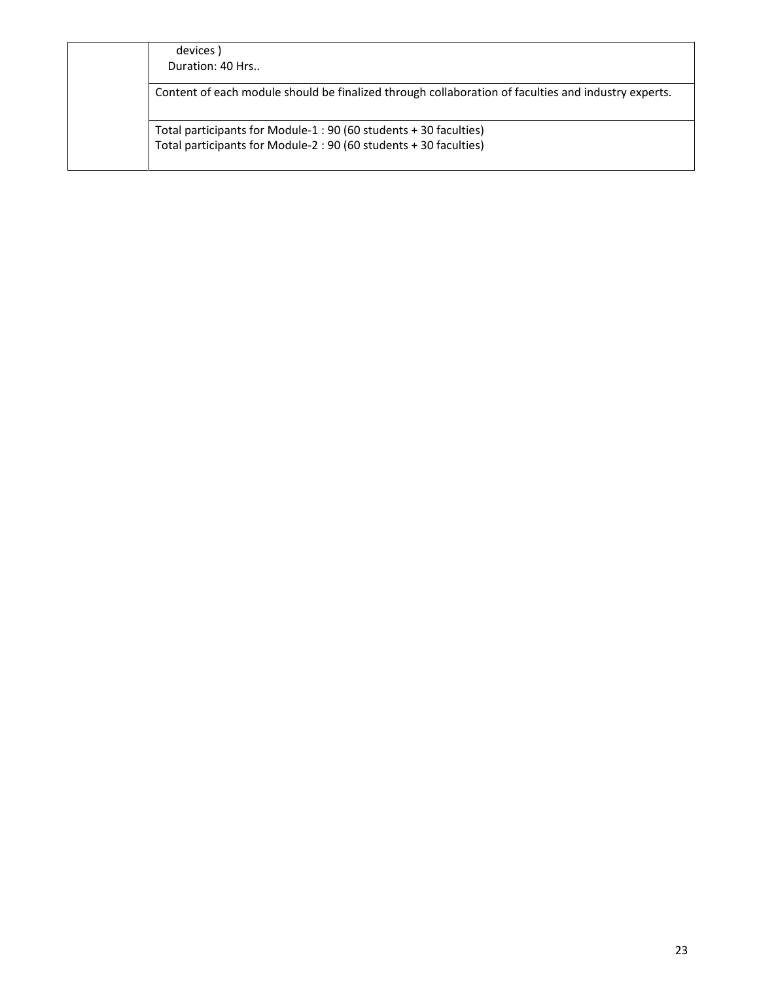| devices)                                                                                            |
|-----------------------------------------------------------------------------------------------------|
| Duration: 40 Hrs                                                                                    |
| Content of each module should be finalized through collaboration of faculties and industry experts. |
| Total participants for Module-1: 90 (60 students + 30 faculties)                                    |
| Total participants for Module-2: 90 (60 students + 30 faculties)                                    |
|                                                                                                     |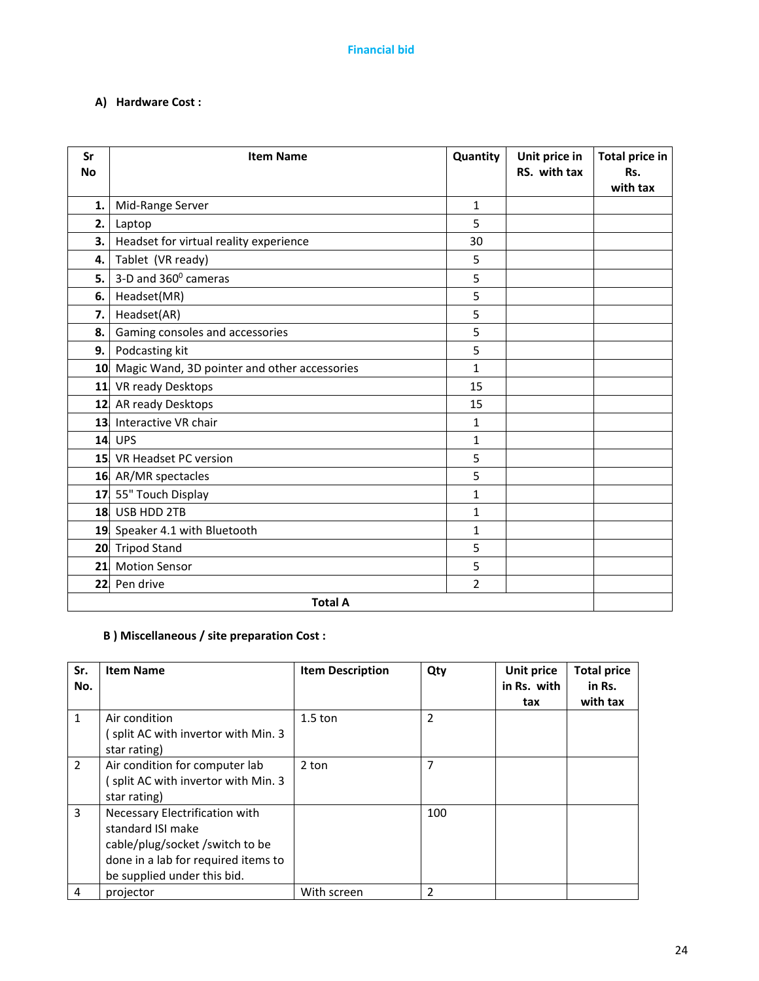## **A) Hardware Cost :**

| Sr<br><b>No</b> | <b>Item Name</b>                             | Quantity     | Unit price in<br>RS. with tax | <b>Total price in</b><br>Rs.<br>with tax |
|-----------------|----------------------------------------------|--------------|-------------------------------|------------------------------------------|
| 1.              | Mid-Range Server                             | $\mathbf{1}$ |                               |                                          |
| 2.              | Laptop                                       | 5            |                               |                                          |
| 3.              | Headset for virtual reality experience       | 30           |                               |                                          |
| 4.              | Tablet (VR ready)                            | 5            |                               |                                          |
| 5.              | 3-D and 360° cameras                         | 5            |                               |                                          |
| 6.              | Headset(MR)                                  | 5            |                               |                                          |
| 7.              | Headset(AR)                                  | 5            |                               |                                          |
| 8.              | Gaming consoles and accessories              | 5            |                               |                                          |
| 9.              | Podcasting kit                               | 5            |                               |                                          |
| 10              | Magic Wand, 3D pointer and other accessories | $\mathbf{1}$ |                               |                                          |
|                 | 11 VR ready Desktops                         | 15           |                               |                                          |
|                 | 12 AR ready Desktops                         | 15           |                               |                                          |
|                 | 13 Interactive VR chair                      | 1            |                               |                                          |
|                 | <b>14 UPS</b>                                | 1            |                               |                                          |
|                 | 15 VR Headset PC version                     | 5            |                               |                                          |
|                 | 16 AR/MR spectacles                          | 5            |                               |                                          |
|                 | 17 55" Touch Display                         | $\mathbf{1}$ |                               |                                          |
|                 | 18 USB HDD 2TB                               | 1            |                               |                                          |
|                 | 19 Speaker 4.1 with Bluetooth                | 1            |                               |                                          |
|                 | 20 Tripod Stand                              | 5            |                               |                                          |
|                 | 21 Motion Sensor                             | 5            |                               |                                          |
| 22              | Pen drive                                    | 2            |                               |                                          |
|                 | <b>Total A</b>                               |              |                               |                                          |

## **B ) Miscellaneous / site preparation Cost :**

| Sr.<br>No.     | <b>Item Name</b>                                                                                                                                            | <b>Item Description</b> | Qty            | Unit price<br>in Rs. with<br>tax | <b>Total price</b><br>in Rs.<br>with tax |
|----------------|-------------------------------------------------------------------------------------------------------------------------------------------------------------|-------------------------|----------------|----------------------------------|------------------------------------------|
| 1              | Air condition<br>split AC with invertor with Min. 3  <br>star rating)                                                                                       | $1.5$ ton               | $\overline{2}$ |                                  |                                          |
| $\overline{2}$ | Air condition for computer lab<br>split AC with invertor with Min. 3<br>star rating)                                                                        | 2 ton                   | 7              |                                  |                                          |
| 3              | Necessary Electrification with<br>standard ISI make<br>cable/plug/socket/switch to be<br>done in a lab for required items to<br>be supplied under this bid. |                         | 100            |                                  |                                          |
| 4              | projector                                                                                                                                                   | With screen             | $\mathfrak{p}$ |                                  |                                          |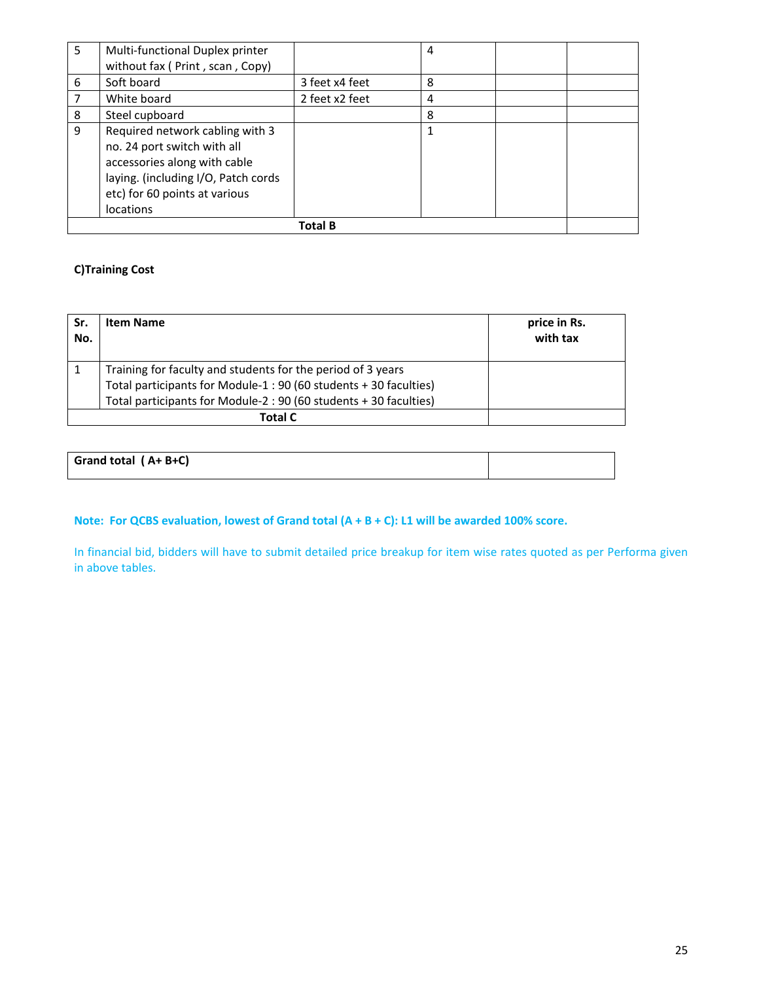| 5 | Multi-functional Duplex printer                                                                                                                                                            |                | 4 |  |
|---|--------------------------------------------------------------------------------------------------------------------------------------------------------------------------------------------|----------------|---|--|
|   | without fax (Print, scan, Copy)                                                                                                                                                            |                |   |  |
| 6 | Soft board                                                                                                                                                                                 | 3 feet x4 feet | 8 |  |
| 7 | White board                                                                                                                                                                                | 2 feet x2 feet | 4 |  |
| 8 | Steel cupboard                                                                                                                                                                             |                | 8 |  |
| 9 | Required network cabling with 3<br>no. 24 port switch with all<br>accessories along with cable<br>laying. (including I/O, Patch cords<br>etc) for 60 points at various<br><b>locations</b> |                |   |  |
|   |                                                                                                                                                                                            | <b>Total B</b> |   |  |

# **C)Training Cost**

| Sr.<br>No. | <b>Item Name</b>                                                 | price in Rs.<br>with tax |
|------------|------------------------------------------------------------------|--------------------------|
| 1          | Training for faculty and students for the period of 3 years      |                          |
|            | Total participants for Module-1: 90 (60 students + 30 faculties) |                          |
|            | Total participants for Module-2: 90 (60 students + 30 faculties) |                          |
|            | <b>Total C</b>                                                   |                          |

| Grand total (A+B+C) |  |
|---------------------|--|
|                     |  |

# **Note: For QCBS evaluation, lowest of Grand total (A + B + C): L1 will be awarded 100% score.**

In financial bid, bidders will have to submit detailed price breakup for item wise rates quoted as per Performa given in above tables.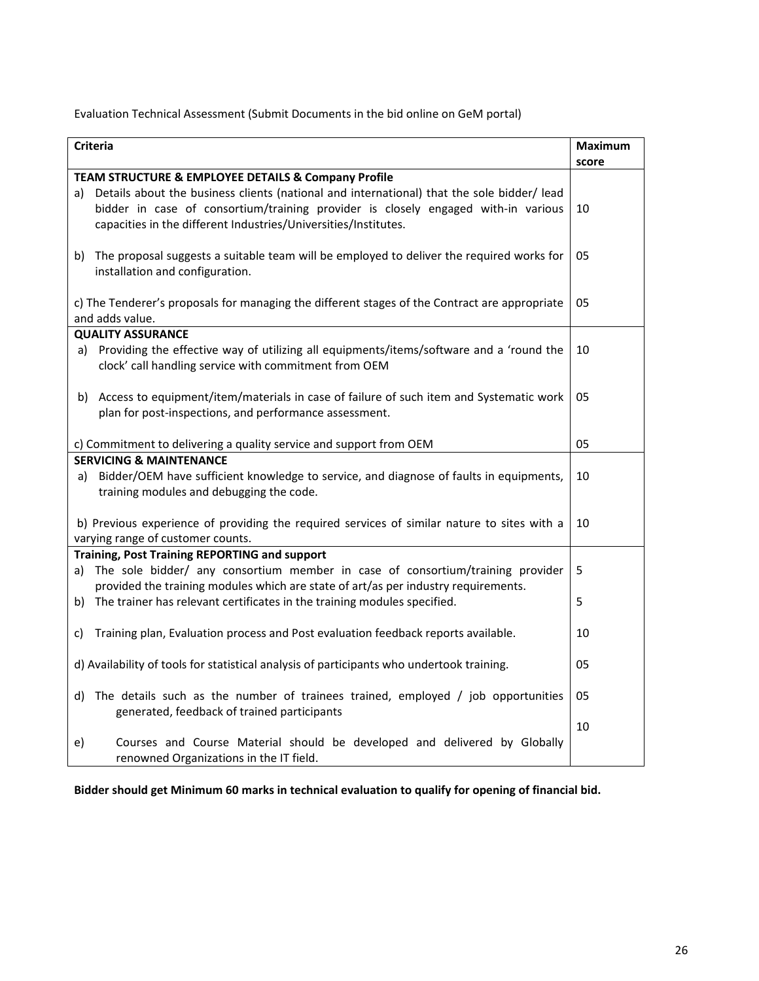Evaluation Technical Assessment (Submit Documents in the bid online on GeM portal)

|    | <b>Criteria</b>                                                                                                                                                                                                                                                                                           | <b>Maximum</b> |
|----|-----------------------------------------------------------------------------------------------------------------------------------------------------------------------------------------------------------------------------------------------------------------------------------------------------------|----------------|
|    |                                                                                                                                                                                                                                                                                                           | score          |
| a) | TEAM STRUCTURE & EMPLOYEE DETAILS & Company Profile<br>Details about the business clients (national and international) that the sole bidder/ lead<br>bidder in case of consortium/training provider is closely engaged with-in various<br>capacities in the different Industries/Universities/Institutes. | 10             |
|    | b) The proposal suggests a suitable team will be employed to deliver the required works for<br>installation and configuration.                                                                                                                                                                            | 05             |
|    | c) The Tenderer's proposals for managing the different stages of the Contract are appropriate<br>and adds value.                                                                                                                                                                                          | 05             |
|    | <b>QUALITY ASSURANCE</b>                                                                                                                                                                                                                                                                                  |                |
|    | a) Providing the effective way of utilizing all equipments/items/software and a 'round the<br>clock' call handling service with commitment from OEM                                                                                                                                                       | 10             |
| b) | Access to equipment/item/materials in case of failure of such item and Systematic work<br>plan for post-inspections, and performance assessment.                                                                                                                                                          | 05             |
|    | c) Commitment to delivering a quality service and support from OEM                                                                                                                                                                                                                                        | 05             |
|    | <b>SERVICING &amp; MAINTENANCE</b>                                                                                                                                                                                                                                                                        |                |
|    | a) Bidder/OEM have sufficient knowledge to service, and diagnose of faults in equipments,<br>training modules and debugging the code.                                                                                                                                                                     | 10             |
|    | b) Previous experience of providing the required services of similar nature to sites with a<br>varying range of customer counts.                                                                                                                                                                          | 10             |
|    | Training, Post Training REPORTING and support                                                                                                                                                                                                                                                             |                |
| a) | The sole bidder/ any consortium member in case of consortium/training provider<br>provided the training modules which are state of art/as per industry requirements.                                                                                                                                      | 5              |
|    | b) The trainer has relevant certificates in the training modules specified.                                                                                                                                                                                                                               | 5              |
| C) | Training plan, Evaluation process and Post evaluation feedback reports available.                                                                                                                                                                                                                         | 10             |
|    | d) Availability of tools for statistical analysis of participants who undertook training.                                                                                                                                                                                                                 | 05             |
|    | d) The details such as the number of trainees trained, employed / job opportunities<br>generated, feedback of trained participants                                                                                                                                                                        | 05             |
| e) | Courses and Course Material should be developed and delivered by Globally<br>renowned Organizations in the IT field.                                                                                                                                                                                      | 10             |

**Bidder should get Minimum 60 marks in technical evaluation to qualify for opening of financial bid.**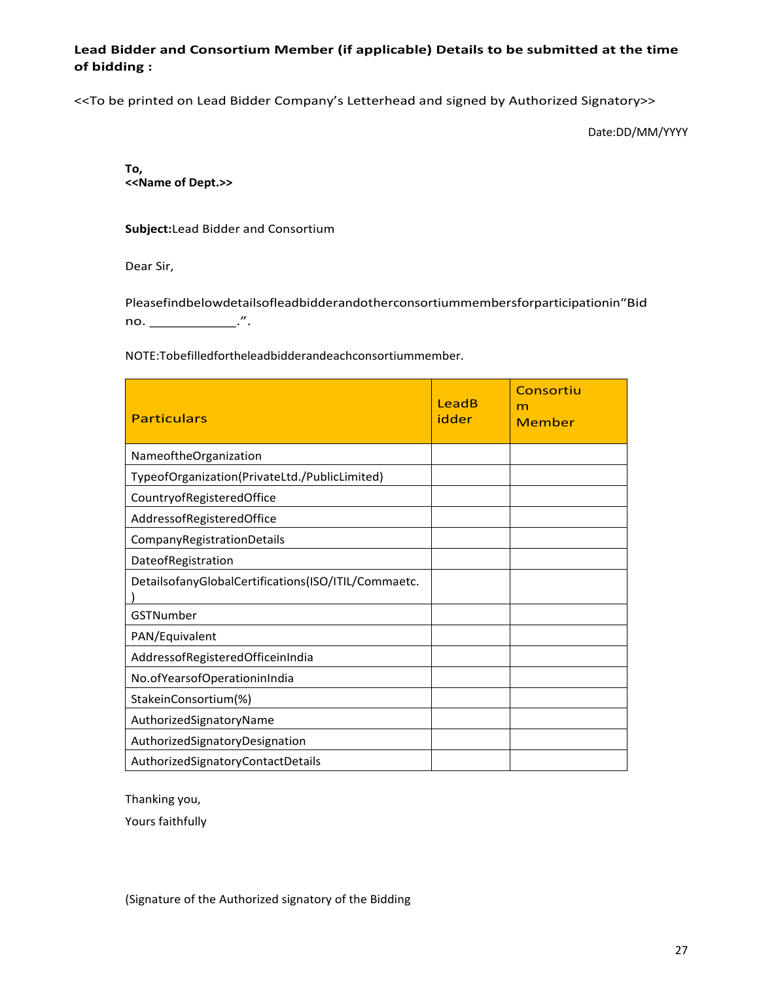## **Lead Bidder and Consortium Member (if applicable) Details to be submitted at the time of bidding :**

<<To be printed on Lead Bidder Company's Letterhead and signed by Authorized Signatory>>

Date:DD/MM/YYYY

**To, <<Name of Dept.>>**

**Subject:**Lead Bidder and Consortium

Dear Sir,

Pleasefindbelowdetailsofleadbidderandotherconsortiummembersforparticipationin"Bid no. \_\_\_\_\_\_\_\_\_\_\_\_\_\_\_.".

NOTE:Tobefilledfortheleadbidderandeachconsortiummember.

| <b>Particulars</b>                                  | LeadB<br>idder | Consortiu<br>m<br>Member |
|-----------------------------------------------------|----------------|--------------------------|
| NameoftheOrganization                               |                |                          |
| TypeofOrganization(PrivateLtd./PublicLimited)       |                |                          |
| CountryofRegisteredOffice                           |                |                          |
| AddressofRegisteredOffice                           |                |                          |
| CompanyRegistrationDetails                          |                |                          |
| DateofRegistration                                  |                |                          |
| DetailsofanyGlobalCertifications(ISO/ITIL/Commaetc. |                |                          |
| GSTNumber                                           |                |                          |
| PAN/Equivalent                                      |                |                          |
| AddressofRegisteredOfficeinIndia                    |                |                          |
| No.ofYearsofOperationinIndia                        |                |                          |
| StakeinConsortium(%)                                |                |                          |
| AuthorizedSignatoryName                             |                |                          |
| AuthorizedSignatoryDesignation                      |                |                          |
| AuthorizedSignatoryContactDetails                   |                |                          |

Thanking you,

Yours faithfully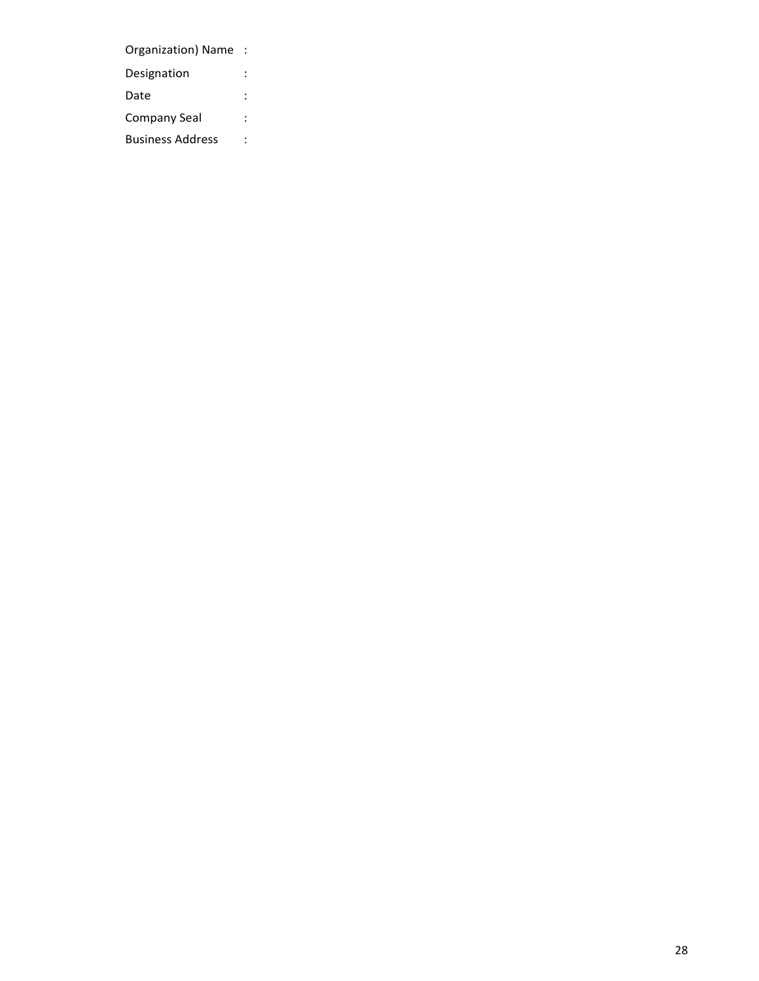Organization) Name : Designation : Date : the state of the state of the state  $\mathbf{r}$  : Company Seal : Business Address :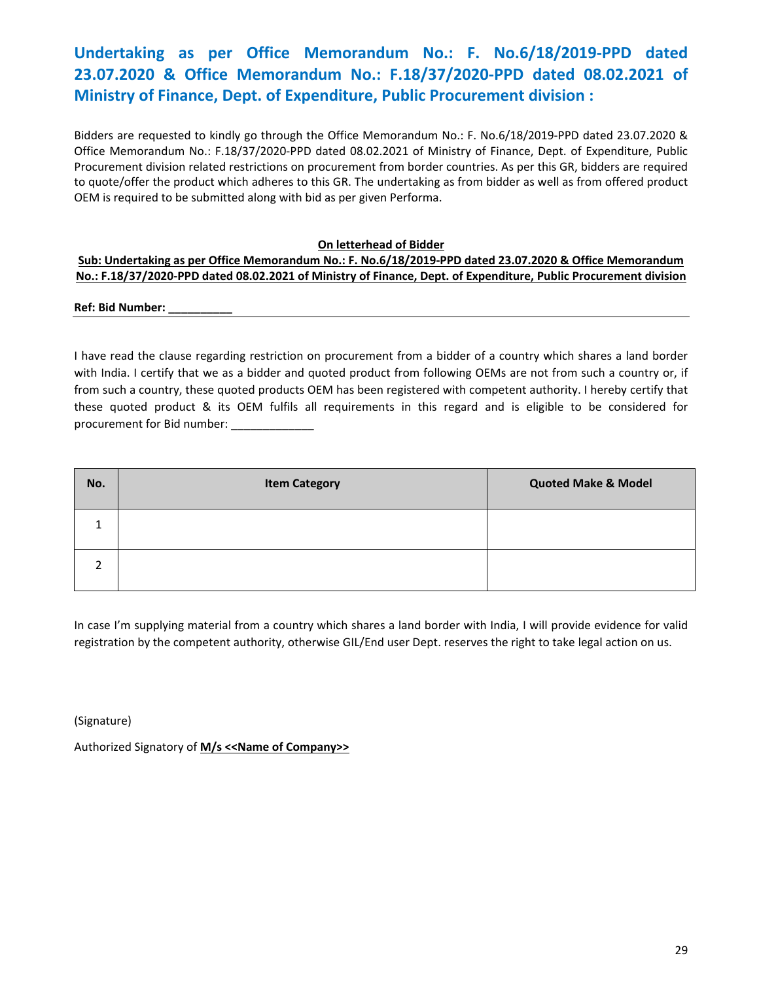# **Undertaking as per Office Memorandum No.: F. No.6/18/2019‐PPD dated 23.07.2020 & Office Memorandum No.: F.18/37/2020‐PPD dated 08.02.2021 of Ministry of Finance, Dept. of Expenditure, Public Procurement division :**

Bidders are requested to kindly go through the Office Memorandum No.: F. No.6/18/2019‐PPD dated 23.07.2020 & Office Memorandum No.: F.18/37/2020‐PPD dated 08.02.2021 of Ministry of Finance, Dept. of Expenditure, Public Procurement division related restrictions on procurement from border countries. As per this GR, bidders are required to quote/offer the product which adheres to this GR. The undertaking as from bidder as well as from offered product OEM is required to be submitted along with bid as per given Performa.

### **On letterhead of Bidder**

#### **Sub: Undertaking as per Office Memorandum No.: F. No.6/18/2019‐PPD dated 23.07.2020 & Office Memorandum No.: F.18/37/2020‐PPD dated 08.02.2021 of Ministry of Finance, Dept. of Expenditure, Public Procurement division**

**Ref: Bid Number: \_\_\_\_\_\_\_\_\_\_** 

I have read the clause regarding restriction on procurement from a bidder of a country which shares a land border with India. I certify that we as a bidder and quoted product from following OEMs are not from such a country or, if from such a country, these quoted products OEM has been registered with competent authority. I hereby certify that these quoted product & its OEM fulfils all requirements in this regard and is eligible to be considered for procurement for Bid number:

| No. | <b>Item Category</b> | <b>Quoted Make &amp; Model</b> |
|-----|----------------------|--------------------------------|
| и   |                      |                                |
| ำ   |                      |                                |

In case I'm supplying material from a country which shares a land border with India, I will provide evidence for valid registration by the competent authority, otherwise GIL/End user Dept. reserves the right to take legal action on us.

(Signature)

Authorized Signatory of **M/s <<Name of Company>>**